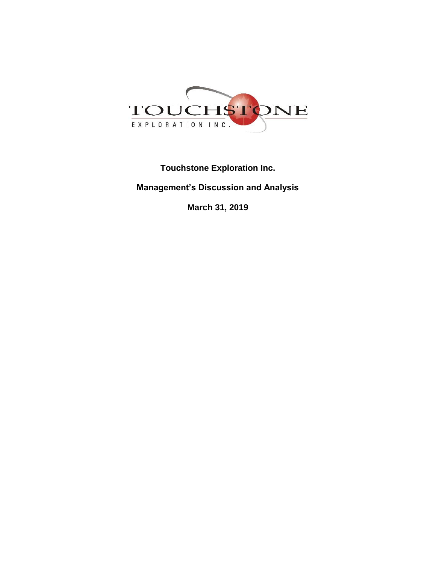

**Touchstone Exploration Inc. Management's Discussion and Analysis**

**March 31, 2019**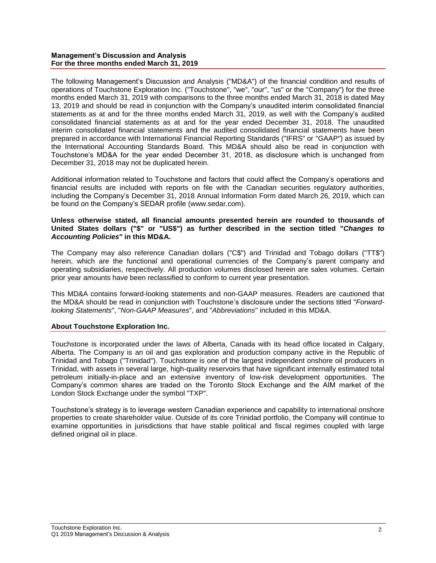### **Management's Discussion and Analysis For the three months ended March 31, 2019**

The following Management's Discussion and Analysis ("MD&A") of the financial condition and results of operations of Touchstone Exploration Inc. ("Touchstone", "we", "our", "us" or the "Company") for the three months ended March 31, 2019 with comparisons to the three months ended March 31, 2018 is dated May 13, 2019 and should be read in conjunction with the Company's unaudited interim consolidated financial statements as at and for the three months ended March 31, 2019, as well with the Company's audited consolidated financial statements as at and for the year ended December 31, 2018. The unaudited interim consolidated financial statements and the audited consolidated financial statements have been prepared in accordance with International Financial Reporting Standards ("IFRS" or "GAAP") as issued by the International Accounting Standards Board. This MD&A should also be read in conjunction with Touchstone's MD&A for the year ended December 31, 2018, as disclosure which is unchanged from December 31, 2018 may not be duplicated herein.

Additional information related to Touchstone and factors that could affect the Company's operations and financial results are included with reports on file with the Canadian securities regulatory authorities, including the Company's December 31, 2018 Annual Information Form dated March 26, 2019, which can be found on the Company's SEDAR profile (www.sedar.com).

### **Unless otherwise stated, all financial amounts presented herein are rounded to thousands of United States dollars ("\$" or "US\$") as further described in the section titled "***Changes to Accounting Policies***" in this MD&A.**

The Company may also reference Canadian dollars ("C\$") and Trinidad and Tobago dollars ("TT\$") herein, which are the functional and operational currencies of the Company's parent company and operating subsidiaries, respectively. All production volumes disclosed herein are sales volumes. Certain prior year amounts have been reclassified to conform to current year presentation.

This MD&A contains forward-looking statements and non-GAAP measures. Readers are cautioned that the MD&A should be read in conjunction with Touchstone's disclosure under the sections titled "*Forwardlooking Statements*", "*Non-GAAP Measures*", and "*Abbreviations*" included in this MD&A.

# **About Touchstone Exploration Inc.**

Touchstone is incorporated under the laws of Alberta, Canada with its head office located in Calgary, Alberta. The Company is an oil and gas exploration and production company active in the Republic of Trinidad and Tobago ("Trinidad"). Touchstone is one of the largest independent onshore oil producers in Trinidad, with assets in several large, high-quality reservoirs that have significant internally estimated total petroleum initially-in-place and an extensive inventory of low-risk development opportunities. The Company's common shares are traded on the Toronto Stock Exchange and the AIM market of the London Stock Exchange under the symbol "TXP".

Touchstone's strategy is to leverage western Canadian experience and capability to international onshore properties to create shareholder value. Outside of its core Trinidad portfolio, the Company will continue to examine opportunities in jurisdictions that have stable political and fiscal regimes coupled with large defined original oil in place.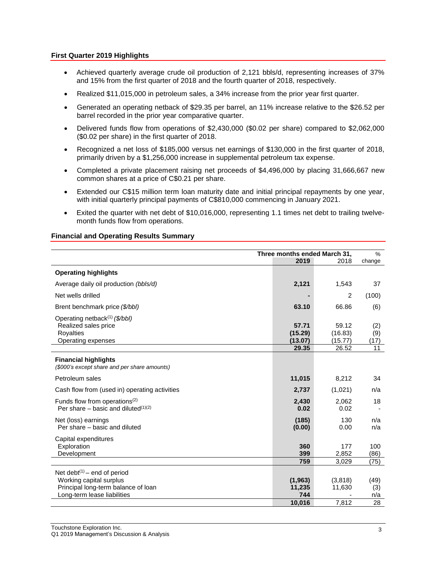# **First Quarter 2019 Highlights**

- Achieved quarterly average crude oil production of 2,121 bbls/d, representing increases of 37% and 15% from the first quarter of 2018 and the fourth quarter of 2018, respectively.
- Realized \$11,015,000 in petroleum sales, a 34% increase from the prior year first quarter.
- Generated an operating netback of \$29.35 per barrel, an 11% increase relative to the \$26.52 per barrel recorded in the prior year comparative quarter.
- Delivered funds flow from operations of \$2,430,000 (\$0.02 per share) compared to \$2,062,000 (\$0.02 per share) in the first quarter of 2018.
- Recognized a net loss of \$185,000 versus net earnings of \$130,000 in the first quarter of 2018, primarily driven by a \$1,256,000 increase in supplemental petroleum tax expense.
- Completed a private placement raising net proceeds of \$4,496,000 by placing 31,666,667 new common shares at a price of C\$0.21 per share.
- Extended our C\$15 million term loan maturity date and initial principal repayments by one year, with initial quarterly principal payments of C\$810,000 commencing in January 2021.
- Exited the quarter with net debt of \$10,016,000, representing 1.1 times net debt to trailing twelvemonth funds flow from operations.

### **Financial and Operating Results Summary**

|                                                                                                                                 | Three months ended March 31, |                             | $\%$               |
|---------------------------------------------------------------------------------------------------------------------------------|------------------------------|-----------------------------|--------------------|
|                                                                                                                                 | 2019                         | 2018                        | change             |
| <b>Operating highlights</b>                                                                                                     |                              |                             |                    |
| Average daily oil production (bbls/d)                                                                                           | 2,121                        | 1,543                       | 37                 |
| Net wells drilled                                                                                                               |                              | 2                           | (100)              |
| Brent benchmark price (\$/bbl)                                                                                                  | 63.10                        | 66.86                       | (6)                |
| Operating netback <sup>(1)</sup> (\$/bbl)<br>Realized sales price<br><b>Royalties</b><br>Operating expenses                     | 57.71<br>(15.29)<br>(13.07)  | 59.12<br>(16.83)<br>(15.77) | (2)<br>(9)<br>(17) |
|                                                                                                                                 | 29.35                        | 26.52                       | 11                 |
| <b>Financial highlights</b><br>(\$000's except share and per share amounts)                                                     |                              |                             |                    |
| Petroleum sales                                                                                                                 | 11,015                       | 8,212                       | 34                 |
| Cash flow from (used in) operating activities                                                                                   | 2,737                        | (1,021)                     | n/a                |
| Funds flow from operations <sup>(2)</sup><br>Per share – basic and diluted $(1)(2)$                                             | 2,430<br>0.02                | 2,062<br>0.02               | 18                 |
| Net (loss) earnings<br>Per share – basic and diluted                                                                            | (185)<br>(0.00)              | 130<br>0.00                 | n/a<br>n/a         |
| Capital expenditures<br>Exploration<br>Development                                                                              | 360<br>399                   | 177<br>2,852                | 100<br>(86)        |
|                                                                                                                                 | 759                          | 3,029                       | (75)               |
| Net debt $(1)$ – end of period<br>Working capital surplus<br>Principal long-term balance of loan<br>Long-term lease liabilities | (1, 963)<br>11,235<br>744    | (3,818)<br>11,630           | (49)<br>(3)<br>n/a |
|                                                                                                                                 | 10.016                       | 7,812                       | 28                 |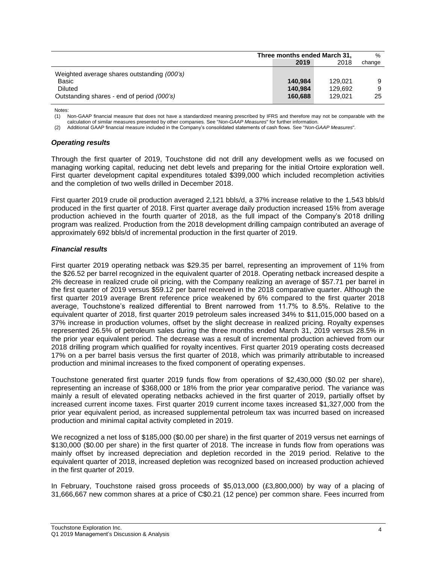|                                             | Three months ended March 31, |         | $\%$   |
|---------------------------------------------|------------------------------|---------|--------|
|                                             | 2019                         | 2018    | change |
| Weighted average shares outstanding (000's) |                              |         |        |
| Basic                                       | 140.984                      | 129.021 |        |
| <b>Diluted</b>                              | 140.984                      | 129.692 | 9      |
| Outstanding shares - end of period (000's)  | 160.688                      | 129.021 | 25     |

Notes:

(1) Non-GAAP financial measure that does not have a standardized meaning prescribed by IFRS and therefore may not be comparable with the calculation of similar measures presented by other companies. See "*Non-GAAP Measures*" for further information.

(2) Additional GAAP financial measure included in the Company's consolidated statements of cash flows. See "*Non-GAAP Measures*"*.*

### *Operating results*

Through the first quarter of 2019, Touchstone did not drill any development wells as we focused on managing working capital, reducing net debt levels and preparing for the initial Ortoire exploration well. First quarter development capital expenditures totaled \$399,000 which included recompletion activities and the completion of two wells drilled in December 2018.

First quarter 2019 crude oil production averaged 2,121 bbls/d, a 37% increase relative to the 1,543 bbls/d produced in the first quarter of 2018. First quarter average daily production increased 15% from average production achieved in the fourth quarter of 2018, as the full impact of the Company's 2018 drilling program was realized. Production from the 2018 development drilling campaign contributed an average of approximately 692 bbls/d of incremental production in the first quarter of 2019.

### *Financial results*

First quarter 2019 operating netback was \$29.35 per barrel, representing an improvement of 11% from the \$26.52 per barrel recognized in the equivalent quarter of 2018. Operating netback increased despite a 2% decrease in realized crude oil pricing, with the Company realizing an average of \$57.71 per barrel in the first quarter of 2019 versus \$59.12 per barrel received in the 2018 comparative quarter. Although the first quarter 2019 average Brent reference price weakened by 6% compared to the first quarter 2018 average, Touchstone's realized differential to Brent narrowed from 11.7% to 8.5%. Relative to the equivalent quarter of 2018, first quarter 2019 petroleum sales increased 34% to \$11,015,000 based on a 37% increase in production volumes, offset by the slight decrease in realized pricing. Royalty expenses represented 26.5% of petroleum sales during the three months ended March 31, 2019 versus 28.5% in the prior year equivalent period. The decrease was a result of incremental production achieved from our 2018 drilling program which qualified for royalty incentives. First quarter 2019 operating costs decreased 17% on a per barrel basis versus the first quarter of 2018, which was primarily attributable to increased production and minimal increases to the fixed component of operating expenses.

Touchstone generated first quarter 2019 funds flow from operations of \$2,430,000 (\$0.02 per share), representing an increase of \$368,000 or 18% from the prior year comparative period. The variance was mainly a result of elevated operating netbacks achieved in the first quarter of 2019, partially offset by increased current income taxes. First quarter 2019 current income taxes increased \$1,327,000 from the prior year equivalent period, as increased supplemental petroleum tax was incurred based on increased production and minimal capital activity completed in 2019.

We recognized a net loss of \$185,000 (\$0.00 per share) in the first quarter of 2019 versus net earnings of \$130,000 (\$0.00 per share) in the first quarter of 2018. The increase in funds flow from operations was mainly offset by increased depreciation and depletion recorded in the 2019 period. Relative to the equivalent quarter of 2018, increased depletion was recognized based on increased production achieved in the first quarter of 2019.

In February, Touchstone raised gross proceeds of \$5,013,000 (£3,800,000) by way of a placing of 31,666,667 new common shares at a price of C\$0.21 (12 pence) per common share. Fees incurred from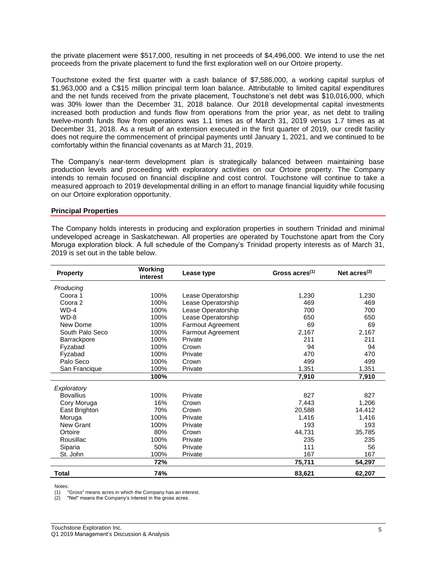the private placement were \$517,000, resulting in net proceeds of \$4,496,000. We intend to use the net proceeds from the private placement to fund the first exploration well on our Ortoire property.

Touchstone exited the first quarter with a cash balance of \$7,586,000, a working capital surplus of \$1,963,000 and a C\$15 million principal term loan balance. Attributable to limited capital expenditures and the net funds received from the private placement, Touchstone's net debt was \$10,016,000, which was 30% lower than the December 31, 2018 balance. Our 2018 developmental capital investments increased both production and funds flow from operations from the prior year, as net debt to trailing twelve-month funds flow from operations was 1.1 times as of March 31, 2019 versus 1.7 times as at December 31, 2018. As a result of an extension executed in the first quarter of 2019, our credit facility does not require the commencement of principal payments until January 1, 2021, and we continued to be comfortably within the financial covenants as at March 31, 2019.

The Company's near-term development plan is strategically balanced between maintaining base production levels and proceeding with exploratory activities on our Ortoire property. The Company intends to remain focused on financial discipline and cost control. Touchstone will continue to take a measured approach to 2019 developmental drilling in an effort to manage financial liquidity while focusing on our Ortoire exploration opportunity.

### **Principal Properties**

The Company holds interests in producing and exploration properties in southern Trinidad and minimal undeveloped acreage in Saskatchewan. All properties are operated by Touchstone apart from the Cory Moruga exploration block. A full schedule of the Company's Trinidad property interests as of March 31, 2019 is set out in the table below.

| <b>Property</b>  | Working<br>interest | Lease type               | Gross $acres(1)$ | Net $acres(2)$ |
|------------------|---------------------|--------------------------|------------------|----------------|
| Producing        |                     |                          |                  |                |
| Coora 1          | 100%                | Lease Operatorship       | 1,230            | 1,230          |
| Coora 2          | 100%                | Lease Operatorship       | 469              | 469            |
| $WD-4$           | 100%                | Lease Operatorship       | 700              | 700            |
| $WD-8$           | 100%                | Lease Operatorship       | 650              | 650            |
| New Dome         | 100%                | <b>Farmout Agreement</b> | 69               | 69             |
| South Palo Seco  | 100%                | Farmout Agreement        | 2,167            | 2,167          |
| Barrackpore      | 100%                | Private                  | 211              | 211            |
| Fyzabad          | 100%                | Crown                    | 94               | 94             |
| Fyzabad          | 100%                | Private                  | 470              | 470            |
| Palo Seco        | 100%                | Crown                    | 499              | 499            |
| San Francique    | 100%                | Private                  | 1,351            | 1,351          |
|                  | 100%                |                          | 7,910            | 7,910          |
| Exploratory      |                     |                          |                  |                |
| <b>Bovallius</b> | 100%                | Private                  | 827              | 827            |
| Cory Moruga      | 16%                 | Crown                    | 7,443            | 1,206          |
| East Brighton    | 70%                 | Crown                    | 20,588           | 14,412         |
| Moruga           | 100%                | Private                  | 1,416            | 1,416          |
| <b>New Grant</b> | 100%                | Private                  | 193              | 193            |
| Ortoire          | 80%                 | Crown                    | 44,731           | 35,785         |
| Rousillac        | 100%                | Private                  | 235              | 235            |
| Siparia          | 50%                 | Private                  | 111              | 56             |
| St. John         | 100%                | Private                  | 167              | 167            |
|                  | 72%                 |                          | 75,711           | 54,297         |
| Total            | 74%                 |                          | 83,621           | 62,207         |

Notes:

(1) "Gross" means acres in which the Company has an interest.

(2) "Net" means the Company's interest in the gross acres.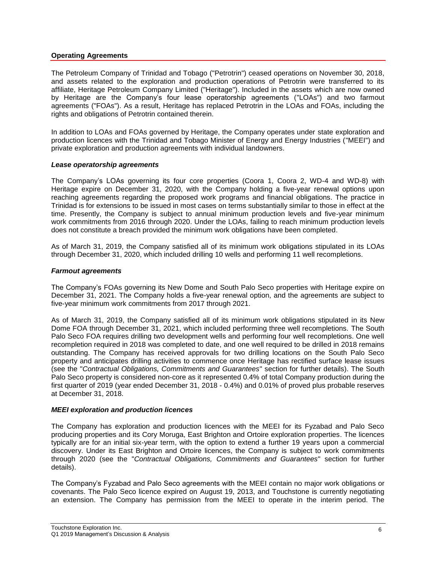# **Operating Agreements**

The Petroleum Company of Trinidad and Tobago ("Petrotrin") ceased operations on November 30, 2018, and assets related to the exploration and production operations of Petrotrin were transferred to its affiliate, Heritage Petroleum Company Limited ("Heritage"). Included in the assets which are now owned by Heritage are the Company's four lease operatorship agreements ("LOAs") and two farmout agreements ("FOAs"). As a result, Heritage has replaced Petrotrin in the LOAs and FOAs, including the rights and obligations of Petrotrin contained therein.

In addition to LOAs and FOAs governed by Heritage, the Company operates under state exploration and production licences with the Trinidad and Tobago Minister of Energy and Energy Industries ("MEEI") and private exploration and production agreements with individual landowners.

### *Lease operatorship agreements*

The Company's LOAs governing its four core properties (Coora 1, Coora 2, WD-4 and WD-8) with Heritage expire on December 31, 2020, with the Company holding a five-year renewal options upon reaching agreements regarding the proposed work programs and financial obligations. The practice in Trinidad is for extensions to be issued in most cases on terms substantially similar to those in effect at the time. Presently, the Company is subject to annual minimum production levels and five-year minimum work commitments from 2016 through 2020. Under the LOAs, failing to reach minimum production levels does not constitute a breach provided the minimum work obligations have been completed.

As of March 31, 2019, the Company satisfied all of its minimum work obligations stipulated in its LOAs through December 31, 2020, which included drilling 10 wells and performing 11 well recompletions.

### *Farmout agreements*

The Company's FOAs governing its New Dome and South Palo Seco properties with Heritage expire on December 31, 2021. The Company holds a five-year renewal option, and the agreements are subject to five-year minimum work commitments from 2017 through 2021.

As of March 31, 2019, the Company satisfied all of its minimum work obligations stipulated in its New Dome FOA through December 31, 2021, which included performing three well recompletions. The South Palo Seco FOA requires drilling two development wells and performing four well recompletions. One well recompletion required in 2018 was completed to date, and one well required to be drilled in 2018 remains outstanding. The Company has received approvals for two drilling locations on the South Palo Seco property and anticipates drilling activities to commence once Heritage has rectified surface lease issues (see the "*Contractual Obligations, Commitments and Guarantees*" section for further details). The South Palo Seco property is considered non-core as it represented 0.4% of total Company production during the first quarter of 2019 (year ended December 31, 2018 - 0.4%) and 0.01% of proved plus probable reserves at December 31, 2018.

### *MEEI exploration and production licences*

The Company has exploration and production licences with the MEEI for its Fyzabad and Palo Seco producing properties and its Cory Moruga, East Brighton and Ortoire exploration properties. The licences typically are for an initial six-year term, with the option to extend a further 19 years upon a commercial discovery. Under its East Brighton and Ortoire licences, the Company is subject to work commitments through 2020 (see the "*Contractual Obligations, Commitments and Guarantees*" section for further details).

The Company's Fyzabad and Palo Seco agreements with the MEEI contain no major work obligations or covenants. The Palo Seco licence expired on August 19, 2013, and Touchstone is currently negotiating an extension. The Company has permission from the MEEI to operate in the interim period. The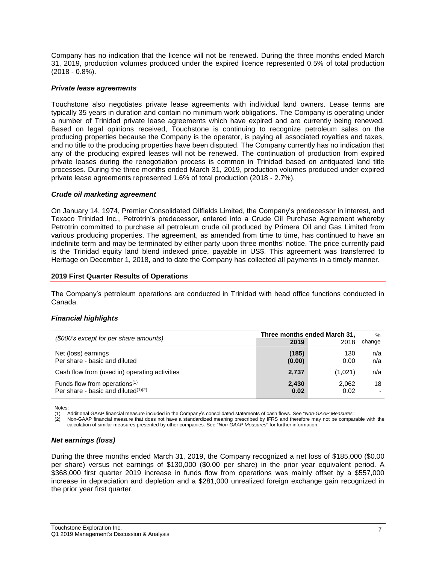Company has no indication that the licence will not be renewed. During the three months ended March 31, 2019, production volumes produced under the expired licence represented 0.5% of total production (2018 - 0.8%).

### *Private lease agreements*

Touchstone also negotiates private lease agreements with individual land owners. Lease terms are typically 35 years in duration and contain no minimum work obligations. The Company is operating under a number of Trinidad private lease agreements which have expired and are currently being renewed. Based on legal opinions received, Touchstone is continuing to recognize petroleum sales on the producing properties because the Company is the operator, is paying all associated royalties and taxes, and no title to the producing properties have been disputed. The Company currently has no indication that any of the producing expired leases will not be renewed. The continuation of production from expired private leases during the renegotiation process is common in Trinidad based on antiquated land title processes. During the three months ended March 31, 2019, production volumes produced under expired private lease agreements represented 1.6% of total production (2018 - 2.7%).

### *Crude oil marketing agreement*

On January 14, 1974, Premier Consolidated Oilfields Limited, the Company's predecessor in interest, and Texaco Trinidad Inc., Petrotrin's predecessor, entered into a Crude Oil Purchase Agreement whereby Petrotrin committed to purchase all petroleum crude oil produced by Primera Oil and Gas Limited from various producing properties. The agreement, as amended from time to time, has continued to have an indefinite term and may be terminated by either party upon three months' notice. The price currently paid is the Trinidad equity land blend indexed price, payable in US\$. This agreement was transferred to Heritage on December 1, 2018, and to date the Company has collected all payments in a timely manner.

### **2019 First Quarter Results of Operations**

The Company's petroleum operations are conducted in Trinidad with head office functions conducted in Canada.

# *Financial highlights*

| (\$000's except for per share amounts)                                              | Three months ended March 31, |               | $\frac{0}{0}$ |
|-------------------------------------------------------------------------------------|------------------------------|---------------|---------------|
|                                                                                     | 2019                         | 2018          | change        |
| Net (loss) earnings<br>Per share - basic and diluted                                | (185)<br>(0.00)              | 130<br>0.00   | n/a<br>n/a    |
| Cash flow from (used in) operating activities                                       | 2,737                        | (1,021)       | n/a           |
| Funds flow from operations <sup>(1)</sup><br>Per share - basic and diluted $(1)(2)$ | 2.430<br>0.02                | 2.062<br>0.02 | 18            |

Notes:

(1) Additional GAAP financial measure included in the Company's consolidated statements of cash flows. See "*Non-GAAP Measures*"*.*

(2) Non-GAAP financial measure that does not have a standardized meaning prescribed by IFRS and therefore may not be comparable with the calculation of similar measures presented by other companies. See "*Non-GAAP Measures*" for further information.

### *Net earnings (loss)*

During the three months ended March 31, 2019, the Company recognized a net loss of \$185,000 (\$0.00 per share) versus net earnings of \$130,000 (\$0.00 per share) in the prior year equivalent period. A \$368,000 first quarter 2019 increase in funds flow from operations was mainly offset by a \$557,000 increase in depreciation and depletion and a \$281,000 unrealized foreign exchange gain recognized in the prior year first quarter.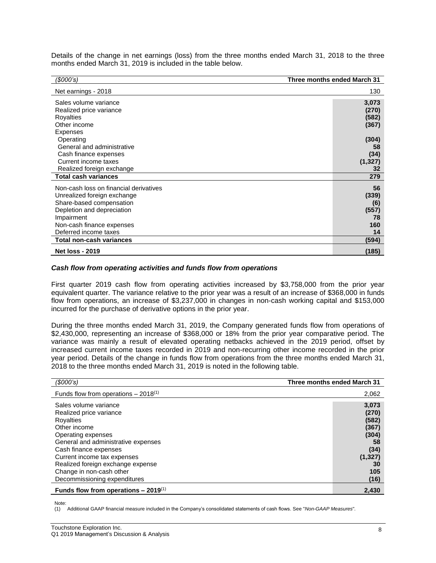Details of the change in net earnings (loss) from the three months ended March 31, 2018 to the three months ended March 31, 2019 is included in the table below.

| (\$000's)                              | Three months ended March 31 |
|----------------------------------------|-----------------------------|
| Net earnings - 2018                    | 130                         |
| Sales volume variance                  | 3,073                       |
| Realized price variance                | (270)                       |
| Royalties                              | (582)                       |
| Other income                           | (367)                       |
| Expenses                               |                             |
| Operating                              | (304)                       |
| General and administrative             | 58                          |
| Cash finance expenses                  | (34)                        |
| Current income taxes                   | (1, 327)                    |
| Realized foreign exchange              | 32                          |
| <b>Total cash variances</b>            | 279                         |
| Non-cash loss on financial derivatives | 56                          |
| Unrealized foreign exchange            | (339)                       |
| Share-based compensation               | (6)                         |
| Depletion and depreciation             | (557)                       |
| Impairment                             | 78                          |
| Non-cash finance expenses              | 160                         |
| Deferred income taxes                  | 14                          |
| Total non-cash variances               | (594)                       |
| <b>Net loss - 2019</b>                 | (185)                       |

#### *Cash flow from operating activities and funds flow from operations*

First quarter 2019 cash flow from operating activities increased by \$3,758,000 from the prior year equivalent quarter. The variance relative to the prior year was a result of an increase of \$368,000 in funds flow from operations, an increase of \$3,237,000 in changes in non-cash working capital and \$153,000 incurred for the purchase of derivative options in the prior year.

During the three months ended March 31, 2019, the Company generated funds flow from operations of \$2,430,000, representing an increase of \$368,000 or 18% from the prior year comparative period. The variance was mainly a result of elevated operating netbacks achieved in the 2019 period, offset by increased current income taxes recorded in 2019 and non-recurring other income recorded in the prior year period. Details of the change in funds flow from operations from the three months ended March 31, 2018 to the three months ended March 31, 2019 is noted in the following table.

| (S000's)                                                                                                                                                                                                                                | Three months ended March 31                                               |
|-----------------------------------------------------------------------------------------------------------------------------------------------------------------------------------------------------------------------------------------|---------------------------------------------------------------------------|
| Funds flow from operations $-2018^{(1)}$                                                                                                                                                                                                | 2,062                                                                     |
| Sales volume variance<br>Realized price variance<br>Royalties<br>Other income<br>Operating expenses<br>General and administrative expenses<br>Cash finance expenses<br>Current income tax expenses<br>Realized foreign exchange expense | 3,073<br>(270)<br>(582)<br>(367)<br>(304)<br>58<br>(34)<br>(1, 327)<br>30 |
| Change in non-cash other<br>Decommissioning expenditures                                                                                                                                                                                | 105<br>(16)                                                               |
| Funds flow from operations $-2019^{(1)}$                                                                                                                                                                                                | 2,430                                                                     |

Note:

(1) Additional GAAP financial measure included in the Company's consolidated statements of cash flows. See "*Non-GAAP Measures*"*.*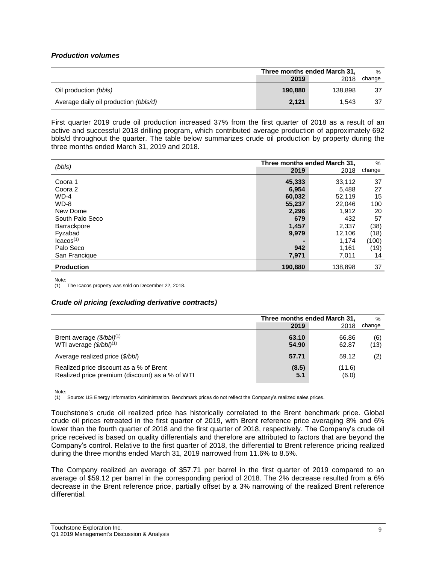# *Production volumes*

|                                       | Three months ended March 31, |         | $\%$   |
|---------------------------------------|------------------------------|---------|--------|
|                                       | 2019                         | 2018    | change |
| Oil production (bbls)                 | 190.880                      | 138.898 | 37     |
| Average daily oil production (bbls/d) | 2.121                        | 1.543   | 37     |

First quarter 2019 crude oil production increased 37% from the first quarter of 2018 as a result of an active and successful 2018 drilling program, which contributed average production of approximately 692 bbls/d throughout the quarter. The table below summarizes crude oil production by property during the three months ended March 31, 2019 and 2018.

| (bbls)                | Three months ended March 31, |         | $\%$   |
|-----------------------|------------------------------|---------|--------|
|                       | 2019                         | 2018    | change |
| Coora 1               | 45,333                       | 33,112  | 37     |
| Coora 2               | 6,954                        | 5.488   | 27     |
| $WD-4$                | 60,032                       | 52,119  | 15     |
| WD-8                  | 55,237                       | 22.046  | 100    |
| New Dome              | 2,296                        | 1,912   | 20     |
| South Palo Seco       | 679                          | 432     | 57     |
| <b>Barrackpore</b>    | 1,457                        | 2,337   | (38)   |
| Fyzabad               | 9,979                        | 12,106  | (18)   |
| lcacos <sup>(1)</sup> |                              | 1.174   | (100)  |
| Palo Seco             | 942                          | 1,161   | (19)   |
| San Francique         | 7,971                        | 7.011   | 14     |
| <b>Production</b>     | 190,880                      | 138,898 | 37     |

Note:

(1) The Icacos property was sold on December 22, 2018.

### *Crude oil pricing (excluding derivative contracts)*

|                                                                                            | Three months ended March 31, |                 | $\%$        |
|--------------------------------------------------------------------------------------------|------------------------------|-----------------|-------------|
|                                                                                            | 2019                         | 2018            | change      |
| Brent average $(\frac{6}{bbI})^{(1)}$<br>WTI average $(\frac{6}{bbI})^{(1)}$               | 63.10<br>54.90               | 66.86<br>62.87  | (6)<br>(13) |
| Average realized price (\$/bbl)                                                            | 57.71                        | 59.12           | (2)         |
| Realized price discount as a % of Brent<br>Realized price premium (discount) as a % of WTI | (8.5)<br>5.1                 | (11.6)<br>(6.0) |             |

Note:

(1) Source: US Energy Information Administration. Benchmark prices do not reflect the Company's realized sales prices.

Touchstone's crude oil realized price has historically correlated to the Brent benchmark price. Global crude oil prices retreated in the first quarter of 2019, with Brent reference price averaging 8% and 6% lower than the fourth quarter of 2018 and the first quarter of 2018, respectively. The Company's crude oil price received is based on quality differentials and therefore are attributed to factors that are beyond the Company's control. Relative to the first quarter of 2018, the differential to Brent reference pricing realized during the three months ended March 31, 2019 narrowed from 11.6% to 8.5%.

The Company realized an average of \$57.71 per barrel in the first quarter of 2019 compared to an average of \$59.12 per barrel in the corresponding period of 2018. The 2% decrease resulted from a 6% decrease in the Brent reference price, partially offset by a 3% narrowing of the realized Brent reference differential.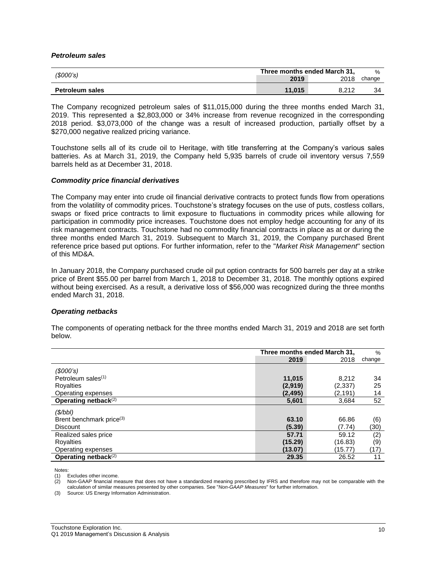#### *Petroleum sales*

| (S000's)               | Three months ended March 31, |       |        |
|------------------------|------------------------------|-------|--------|
|                        | 2019                         | 2018  | change |
| <b>Petroleum sales</b> | 11.015                       | 8.212 | 34     |

The Company recognized petroleum sales of \$11,015,000 during the three months ended March 31, 2019. This represented a \$2,803,000 or 34% increase from revenue recognized in the corresponding 2018 period. \$3,073,000 of the change was a result of increased production, partially offset by a \$270,000 negative realized pricing variance.

Touchstone sells all of its crude oil to Heritage, with title transferring at the Company's various sales batteries. As at March 31, 2019, the Company held 5,935 barrels of crude oil inventory versus 7,559 barrels held as at December 31, 2018.

#### *Commodity price financial derivatives*

The Company may enter into crude oil financial derivative contracts to protect funds flow from operations from the volatility of commodity prices. Touchstone's strategy focuses on the use of puts, costless collars, swaps or fixed price contracts to limit exposure to fluctuations in commodity prices while allowing for participation in commodity price increases. Touchstone does not employ hedge accounting for any of its risk management contracts. Touchstone had no commodity financial contracts in place as at or during the three months ended March 31, 2019. Subsequent to March 31, 2019, the Company purchased Brent reference price based put options. For further information, refer to the "*Market Risk Management*" section of this MD&A.

In January 2018, the Company purchased crude oil put option contracts for 500 barrels per day at a strike price of Brent \$55.00 per barrel from March 1, 2018 to December 31, 2018. The monthly options expired without being exercised. As a result, a derivative loss of \$56,000 was recognized during the three months ended March 31, 2018.

### *Operating netbacks*

The components of operating netback for the three months ended March 31, 2019 and 2018 are set forth below.

|                                      | Three months ended March 31, |          | $\%$   |
|--------------------------------------|------------------------------|----------|--------|
|                                      | 2019                         | 2018     | change |
| $($ \$000's)                         |                              |          |        |
| Petroleum sales $(1)$                | 11,015                       | 8,212    | 34     |
| Royalties                            | (2,919)                      | (2.337)  | 25     |
| Operating expenses                   | (2, 495)                     | (2, 191) | 14     |
| Operating netback <sup>(2)</sup>     | 5,601                        | 3,684    | 52     |
| (S/bbl)                              |                              |          |        |
| Brent benchmark price <sup>(3)</sup> | 63.10                        | 66.86    | (6)    |
| <b>Discount</b>                      | (5.39)                       | (7.74)   | (30)   |
| Realized sales price                 | 57.71                        | 59.12    | (2)    |
| Royalties                            | (15.29)                      | (16.83)  | (9)    |
| Operating expenses                   | (13.07)                      | (15.77)  | (17)   |
| Operating netback <sup>(2)</sup>     | 29.35                        | 26.52    | 11     |

Notes:

(1) Excludes other income.

(2) Non-GAAP financial measure that does not have a standardized meaning prescribed by IFRS and therefore may not be comparable with the calculation of similar measures presented by other companies. See "*Non-GAAP Measures*" for further information.

(3) Source: US Energy Information Administration.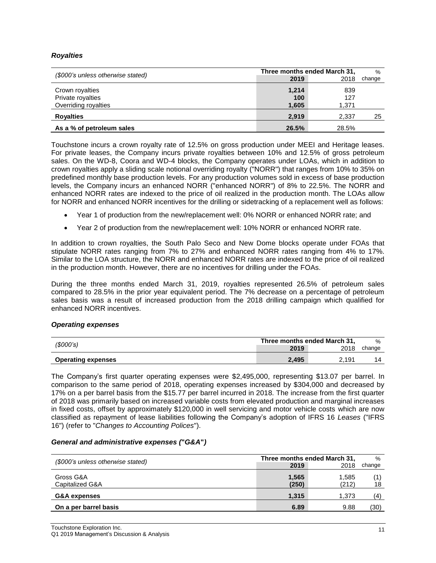# *Royalties*

| (\$000's unless otherwise stated)                            | Three months ended March 31, |                     | $\%$   |
|--------------------------------------------------------------|------------------------------|---------------------|--------|
|                                                              | 2019                         | 2018                | change |
| Crown royalties<br>Private royalties<br>Overriding royalties | 1,214<br>100<br>1,605        | 839<br>127<br>1.371 |        |
| <b>Royalties</b>                                             | 2,919                        | 2,337               | 25     |
| As a % of petroleum sales                                    | 26.5%                        | 28.5%               |        |

Touchstone incurs a crown royalty rate of 12.5% on gross production under MEEI and Heritage leases. For private leases, the Company incurs private royalties between 10% and 12.5% of gross petroleum sales. On the WD-8, Coora and WD-4 blocks, the Company operates under LOAs, which in addition to crown royalties apply a sliding scale notional overriding royalty ("NORR") that ranges from 10% to 35% on predefined monthly base production levels. For any production volumes sold in excess of base production levels, the Company incurs an enhanced NORR ("enhanced NORR") of 8% to 22.5%. The NORR and enhanced NORR rates are indexed to the price of oil realized in the production month. The LOAs allow for NORR and enhanced NORR incentives for the drilling or sidetracking of a replacement well as follows:

- Year 1 of production from the new/replacement well: 0% NORR or enhanced NORR rate; and
- Year 2 of production from the new/replacement well: 10% NORR or enhanced NORR rate.

In addition to crown royalties, the South Palo Seco and New Dome blocks operate under FOAs that stipulate NORR rates ranging from 7% to 27% and enhanced NORR rates ranging from 4% to 17%. Similar to the LOA structure, the NORR and enhanced NORR rates are indexed to the price of oil realized in the production month. However, there are no incentives for drilling under the FOAs.

During the three months ended March 31, 2019, royalties represented 26.5% of petroleum sales compared to 28.5% in the prior year equivalent period. The 7% decrease on a percentage of petroleum sales basis was a result of increased production from the 2018 drilling campaign which qualified for enhanced NORR incentives.

### *Operating expenses*

|                           | Three months ended March 31, |       | %      |
|---------------------------|------------------------------|-------|--------|
| (\$000's)                 | 2019                         | 2018  | change |
| <b>Operating expenses</b> | 2.495                        | 2.191 |        |

The Company's first quarter operating expenses were \$2,495,000, representing \$13.07 per barrel. In comparison to the same period of 2018, operating expenses increased by \$304,000 and decreased by 17% on a per barrel basis from the \$15.77 per barrel incurred in 2018. The increase from the first quarter of 2018 was primarily based on increased variable costs from elevated production and marginal increases in fixed costs, offset by approximately \$120,000 in well servicing and motor vehicle costs which are now classified as repayment of lease liabilities following the Company's adoption of IFRS 16 *Leases* ("IFRS 16") (refer to "*Changes to Accounting Polices*").

### *General and administrative expenses (***"***G&A***"***)*

| (\$000's unless otherwise stated) | Three months ended March 31, | $\%$           |        |
|-----------------------------------|------------------------------|----------------|--------|
|                                   | 2019                         | 2018           | change |
| Gross G&A<br>Capitalized G&A      | 1.565<br>(250)               | 1.585<br>(212) | 18     |
| <b>G&amp;A expenses</b>           | 1.315                        | 1.373          | (4)    |
| On a per barrel basis             | 6.89                         | 9.88           | (30)   |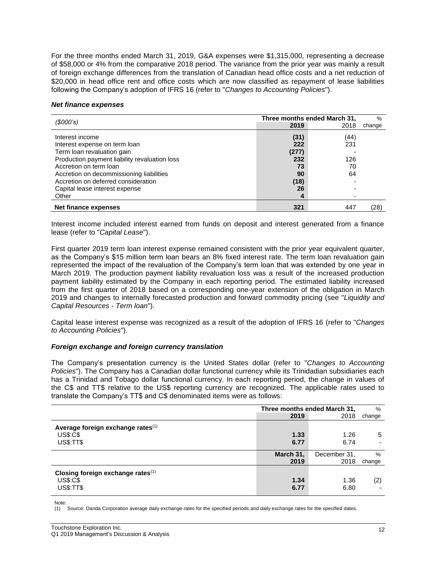For the three months ended March 31, 2019, G&A expenses were \$1,315,000, representing a decrease of \$58,000 or 4% from the comparative 2018 period. The variance from the prior year was mainly a result of foreign exchange differences from the translation of Canadian head office costs and a net reduction of \$20,000 in head office rent and office costs which are now classified as repayment of lease liabilities following the Company's adoption of IFRS 16 (refer to "*Changes to Accounting Policies*").

#### *Net finance expenses*

| (S000's)                                      |       | Three months ended March 31, | $\%$   |
|-----------------------------------------------|-------|------------------------------|--------|
|                                               | 2019  | 2018                         | change |
| Interest income                               | (31)  | (44)                         |        |
| Interest expense on term loan                 | 222   | 231                          |        |
| Term loan revaluation gain                    | (277) |                              |        |
| Production payment liability revaluation loss | 232   | 126                          |        |
| Accretion on term loan                        | 73    | 70                           |        |
| Accretion on decommissioning liabilities      | 90    | 64                           |        |
| Accretion on deferred consideration           | (18)  |                              |        |
| Capital lease interest expense                | 26    |                              |        |
| Other                                         | 4     |                              |        |
| Net finance expenses                          | 321   | 447                          | 28)    |

Interest income included interest earned from funds on deposit and interest generated from a finance lease (refer to "*Capital Lease*").

First quarter 2019 term loan interest expense remained consistent with the prior year equivalent quarter, as the Company's \$15 million term loan bears an 8% fixed interest rate. The term loan revaluation gain represented the impact of the revaluation of the Company's term loan that was extended by one year in March 2019. The production payment liability revaluation loss was a result of the increased production payment liability estimated by the Company in each reporting period. The estimated liability increased from the first quarter of 2018 based on a corresponding one-year extension of the obligation in March 2019 and changes to internally forecasted production and forward commodity pricing (see "*Liquidity and Capital Resources - Term loan*").

Capital lease interest expense was recognized as a result of the adoption of IFRS 16 (refer to "*Changes to Accounting Policies*").

### *Foreign exchange and foreign currency translation*

The Company's presentation currency is the United States dollar (refer to "*Changes to Accounting Policies*"). The Company has a Canadian dollar functional currency while its Trinidadian subsidiaries each has a Trinidad and Tobago dollar functional currency. In each reporting period, the change in values of the C\$ and TT\$ relative to the US\$ reporting currency are recognized. The applicable rates used to translate the Company's TT\$ and C\$ denominated items were as follows:

|                                                                             |              | Three months ended March 31, |        |  |
|-----------------------------------------------------------------------------|--------------|------------------------------|--------|--|
|                                                                             | 2019         | 2018                         | change |  |
| Average foreign exchange rates <sup>(1)</sup>                               |              |                              |        |  |
| <b>US\$:C\$</b>                                                             | 1.33         | 1.26                         | 5      |  |
| <b>US\$:TT\$</b>                                                            | 6.77         | 6.74                         |        |  |
|                                                                             | March 31,    | December 31,                 | $\%$   |  |
|                                                                             | 2019         | 2018                         | change |  |
| Closing foreign exchange rates $(1)$<br><b>US\$:C\$</b><br><b>US\$:TT\$</b> | 1.34<br>6.77 | 1.36<br>6.80                 | (2)    |  |

Note:

(1) Source: Oanda Corporation average daily exchange rates for the specified periods and daily exchange rates for the specified dates.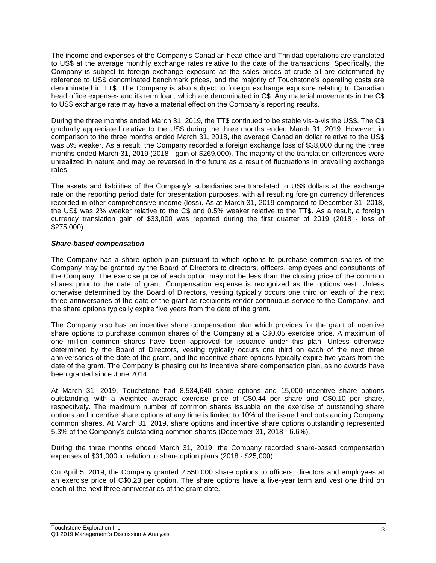The income and expenses of the Company's Canadian head office and Trinidad operations are translated to US\$ at the average monthly exchange rates relative to the date of the transactions. Specifically, the Company is subject to foreign exchange exposure as the sales prices of crude oil are determined by reference to US\$ denominated benchmark prices, and the majority of Touchstone's operating costs are denominated in TT\$. The Company is also subject to foreign exchange exposure relating to Canadian head office expenses and its term loan, which are denominated in C\$. Any material movements in the C\$ to US\$ exchange rate may have a material effect on the Company's reporting results.

During the three months ended March 31, 2019, the TT\$ continued to be stable vis-à-vis the US\$. The C\$ gradually appreciated relative to the US\$ during the three months ended March 31, 2019. However, in comparison to the three months ended March 31, 2018, the average Canadian dollar relative to the US\$ was 5% weaker. As a result, the Company recorded a foreign exchange loss of \$38,000 during the three months ended March 31, 2019 (2018 - gain of \$269,000). The majority of the translation differences were unrealized in nature and may be reversed in the future as a result of fluctuations in prevailing exchange rates.

The assets and liabilities of the Company's subsidiaries are translated to US\$ dollars at the exchange rate on the reporting period date for presentation purposes, with all resulting foreign currency differences recorded in other comprehensive income (loss). As at March 31, 2019 compared to December 31, 2018, the US\$ was 2% weaker relative to the C\$ and 0.5% weaker relative to the TT\$. As a result, a foreign currency translation gain of \$33,000 was reported during the first quarter of 2019 (2018 - loss of \$275,000).

# *Share-based compensation*

The Company has a share option plan pursuant to which options to purchase common shares of the Company may be granted by the Board of Directors to directors, officers, employees and consultants of the Company. The exercise price of each option may not be less than the closing price of the common shares prior to the date of grant. Compensation expense is recognized as the options vest. Unless otherwise determined by the Board of Directors, vesting typically occurs one third on each of the next three anniversaries of the date of the grant as recipients render continuous service to the Company, and the share options typically expire five years from the date of the grant.

The Company also has an incentive share compensation plan which provides for the grant of incentive share options to purchase common shares of the Company at a C\$0.05 exercise price. A maximum of one million common shares have been approved for issuance under this plan. Unless otherwise determined by the Board of Directors, vesting typically occurs one third on each of the next three anniversaries of the date of the grant, and the incentive share options typically expire five years from the date of the grant. The Company is phasing out its incentive share compensation plan, as no awards have been granted since June 2014.

At March 31, 2019, Touchstone had 8,534,640 share options and 15,000 incentive share options outstanding, with a weighted average exercise price of C\$0.44 per share and C\$0.10 per share, respectively. The maximum number of common shares issuable on the exercise of outstanding share options and incentive share options at any time is limited to 10% of the issued and outstanding Company common shares. At March 31, 2019, share options and incentive share options outstanding represented 5.3% of the Company's outstanding common shares (December 31, 2018 - 6.6%).

During the three months ended March 31, 2019, the Company recorded share-based compensation expenses of \$31,000 in relation to share option plans (2018 - \$25,000).

On April 5, 2019, the Company granted 2,550,000 share options to officers, directors and employees at an exercise price of C\$0.23 per option. The share options have a five-year term and vest one third on each of the next three anniversaries of the grant date.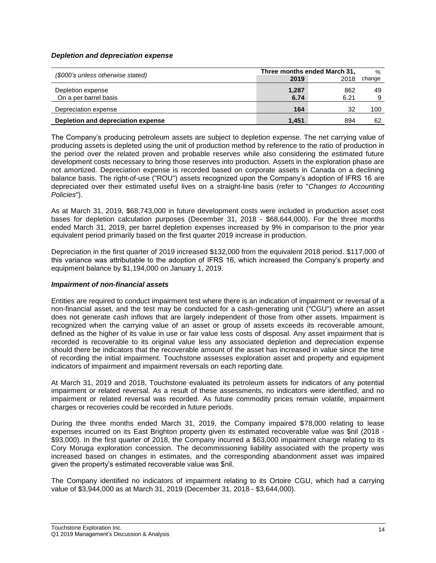### *Depletion and depreciation expense*

| (\$000's unless otherwise stated)          | Three months ended March 31, | $\%$        |        |
|--------------------------------------------|------------------------------|-------------|--------|
|                                            | 2019                         | 2018        | change |
| Depletion expense<br>On a per barrel basis | 1,287<br>6.74                | 862<br>6.21 | 49     |
| Depreciation expense                       | 164                          | 32          | 100    |
| Depletion and depreciation expense         | 1.451                        | 894         | 62     |

The Company's producing petroleum assets are subject to depletion expense. The net carrying value of producing assets is depleted using the unit of production method by reference to the ratio of production in the period over the related proven and probable reserves while also considering the estimated future development costs necessary to bring those reserves into production. Assets in the exploration phase are not amortized. Depreciation expense is recorded based on corporate assets in Canada on a declining balance basis. The right-of-use ("ROU") assets recognized upon the Company's adoption of IFRS 16 are depreciated over their estimated useful lives on a straight-line basis (refer to "*Changes to Accounting Policies*").

As at March 31, 2019, \$68,743,000 in future development costs were included in production asset cost bases for depletion calculation purposes (December 31, 2018 - \$68,644,000). For the three months ended March 31, 2019, per barrel depletion expenses increased by 9% in comparison to the prior year equivalent period primarily based on the first quarter 2019 increase in production.

Depreciation in the first quarter of 2019 increased \$132,000 from the equivalent 2018 period. \$117,000 of this variance was attributable to the adoption of IFRS 16, which increased the Company's property and equipment balance by \$1,194,000 on January 1, 2019.

### *Impairment of non-financial assets*

Entities are required to conduct impairment test where there is an indication of impairment or reversal of a non-financial asset, and the test may be conducted for a cash-generating unit ("CGU") where an asset does not generate cash inflows that are largely independent of those from other assets. Impairment is recognized when the carrying value of an asset or group of assets exceeds its recoverable amount, defined as the higher of its value in use or fair value less costs of disposal. Any asset impairment that is recorded is recoverable to its original value less any associated depletion and depreciation expense should there be indicators that the recoverable amount of the asset has increased in value since the time of recording the initial impairment. Touchstone assesses exploration asset and property and equipment indicators of impairment and impairment reversals on each reporting date.

At March 31, 2019 and 2018, Touchstone evaluated its petroleum assets for indicators of any potential impairment or related reversal. As a result of these assessments, no indicators were identified, and no impairment or related reversal was recorded. As future commodity prices remain volatile, impairment charges or recoveries could be recorded in future periods.

During the three months ended March 31, 2019, the Company impaired \$78,000 relating to lease expenses incurred on its East Brighton property given its estimated recoverable value was \$nil (2018 - \$93,000). In the first quarter of 2018, the Company incurred a \$63,000 impairment charge relating to its Cory Moruga exploration concession. The decommissioning liability associated with the property was increased based on changes in estimates, and the corresponding abandonment asset was impaired given the property's estimated recoverable value was \$nil.

The Company identified no indicators of impairment relating to its Ortoire CGU, which had a carrying value of \$3,944,000 as at March 31, 2019 (December 31, 2018 - \$3,644,000).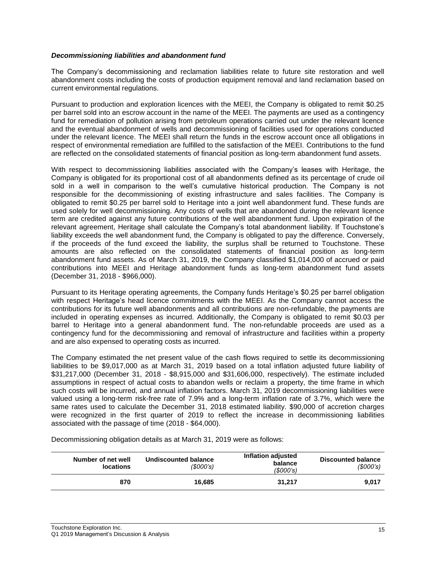### *Decommissioning liabilities and abandonment fund*

The Company's decommissioning and reclamation liabilities relate to future site restoration and well abandonment costs including the costs of production equipment removal and land reclamation based on current environmental regulations.

Pursuant to production and exploration licences with the MEEI, the Company is obligated to remit \$0.25 per barrel sold into an escrow account in the name of the MEEI. The payments are used as a contingency fund for remediation of pollution arising from petroleum operations carried out under the relevant licence and the eventual abandonment of wells and decommissioning of facilities used for operations conducted under the relevant licence. The MEEI shall return the funds in the escrow account once all obligations in respect of environmental remediation are fulfilled to the satisfaction of the MEEI. Contributions to the fund are reflected on the consolidated statements of financial position as long-term abandonment fund assets.

With respect to decommissioning liabilities associated with the Company's leases with Heritage, the Company is obligated for its proportional cost of all abandonments defined as its percentage of crude oil sold in a well in comparison to the well's cumulative historical production. The Company is not responsible for the decommissioning of existing infrastructure and sales facilities. The Company is obligated to remit \$0.25 per barrel sold to Heritage into a joint well abandonment fund. These funds are used solely for well decommissioning. Any costs of wells that are abandoned during the relevant licence term are credited against any future contributions of the well abandonment fund. Upon expiration of the relevant agreement, Heritage shall calculate the Company's total abandonment liability. If Touchstone's liability exceeds the well abandonment fund, the Company is obligated to pay the difference. Conversely, if the proceeds of the fund exceed the liability, the surplus shall be returned to Touchstone. These amounts are also reflected on the consolidated statements of financial position as long-term abandonment fund assets. As of March 31, 2019, the Company classified \$1,014,000 of accrued or paid contributions into MEEI and Heritage abandonment funds as long-term abandonment fund assets (December 31, 2018 - \$966,000).

Pursuant to its Heritage operating agreements, the Company funds Heritage's \$0.25 per barrel obligation with respect Heritage's head licence commitments with the MEEI. As the Company cannot access the contributions for its future well abandonments and all contributions are non-refundable, the payments are included in operating expenses as incurred. Additionally, the Company is obligated to remit \$0.03 per barrel to Heritage into a general abandonment fund. The non-refundable proceeds are used as a contingency fund for the decommissioning and removal of infrastructure and facilities within a property and are also expensed to operating costs as incurred.

The Company estimated the net present value of the cash flows required to settle its decommissioning liabilities to be \$9,017,000 as at March 31, 2019 based on a total inflation adjusted future liability of \$31,217,000 (December 31, 2018 - \$8,915,000 and \$31,606,000, respectively). The estimate included assumptions in respect of actual costs to abandon wells or reclaim a property, the time frame in which such costs will be incurred, and annual inflation factors. March 31, 2019 decommissioning liabilities were valued using a long-term risk-free rate of 7.9% and a long-term inflation rate of 3.7%, which were the same rates used to calculate the December 31, 2018 estimated liability. \$90,000 of accretion charges were recognized in the first quarter of 2019 to reflect the increase in decommissioning liabilities associated with the passage of time (2018 - \$64,000).

**Number of net well locations Undiscounted balance** *(\$000's)* **Inflation adjusted balance** *(\$000's)* **Discounted balance** *(\$000's)* **870 16,685 31,217 9,017**

Decommissioning obligation details as at March 31, 2019 were as follows: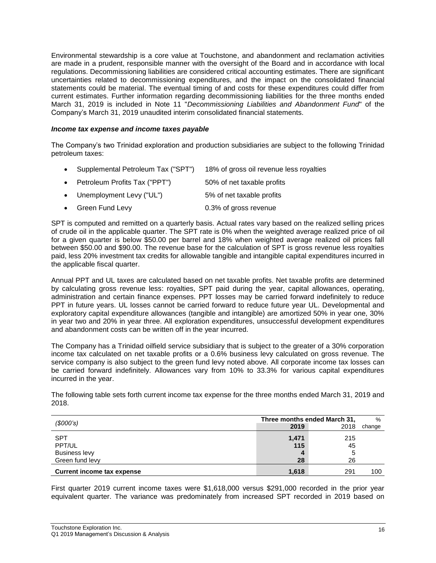Environmental stewardship is a core value at Touchstone, and abandonment and reclamation activities are made in a prudent, responsible manner with the oversight of the Board and in accordance with local regulations. Decommissioning liabilities are considered critical accounting estimates. There are significant uncertainties related to decommissioning expenditures, and the impact on the consolidated financial statements could be material. The eventual timing of and costs for these expenditures could differ from current estimates. Further information regarding decommissioning liabilities for the three months ended March 31, 2019 is included in Note 11 "*Decommissioning Liabilities and Abandonment Fund*" of the Company's March 31, 2019 unaudited interim consolidated financial statements.

### *Income tax expense and income taxes payable*

The Company's two Trinidad exploration and production subsidiaries are subject to the following Trinidad petroleum taxes:

- Supplemental Petroleum Tax ("SPT") 18% of gross oil revenue less royalties Petroleum Profits Tax ("PPT") 50% of net taxable profits
- Unemployment Levy ("UL") 5% of net taxable profits
- Green Fund Levy 0.3% of gross revenue

SPT is computed and remitted on a quarterly basis. Actual rates vary based on the realized selling prices of crude oil in the applicable quarter. The SPT rate is 0% when the weighted average realized price of oil for a given quarter is below \$50.00 per barrel and 18% when weighted average realized oil prices fall between \$50.00 and \$90.00. The revenue base for the calculation of SPT is gross revenue less royalties paid, less 20% investment tax credits for allowable tangible and intangible capital expenditures incurred in the applicable fiscal quarter.

Annual PPT and UL taxes are calculated based on net taxable profits. Net taxable profits are determined by calculating gross revenue less: royalties, SPT paid during the year, capital allowances, operating, administration and certain finance expenses. PPT losses may be carried forward indefinitely to reduce PPT in future years. UL losses cannot be carried forward to reduce future year UL. Developmental and exploratory capital expenditure allowances (tangible and intangible) are amortized 50% in year one, 30% in year two and 20% in year three. All exploration expenditures, unsuccessful development expenditures and abandonment costs can be written off in the year incurred.

The Company has a Trinidad oilfield service subsidiary that is subject to the greater of a 30% corporation income tax calculated on net taxable profits or a 0.6% business levy calculated on gross revenue. The service company is also subject to the green fund levy noted above. All corporate income tax losses can be carried forward indefinitely. Allowances vary from 10% to 33.3% for various capital expenditures incurred in the year.

The following table sets forth current income tax expense for the three months ended March 31, 2019 and 2018.

| (\$000's)                         | Three months ended March 31, | $\%$ |        |
|-----------------------------------|------------------------------|------|--------|
|                                   | 2019                         | 2018 | change |
| <b>SPT</b>                        | 1,471                        | 215  |        |
| PPT/UL                            | 115                          | 45   |        |
| <b>Business levy</b>              | 4                            | 5    |        |
| Green fund levy                   | 28                           | 26   |        |
| <b>Current income tax expense</b> | 1.618                        | 291  | 100    |

First quarter 2019 current income taxes were \$1,618,000 versus \$291,000 recorded in the prior year equivalent quarter. The variance was predominately from increased SPT recorded in 2019 based on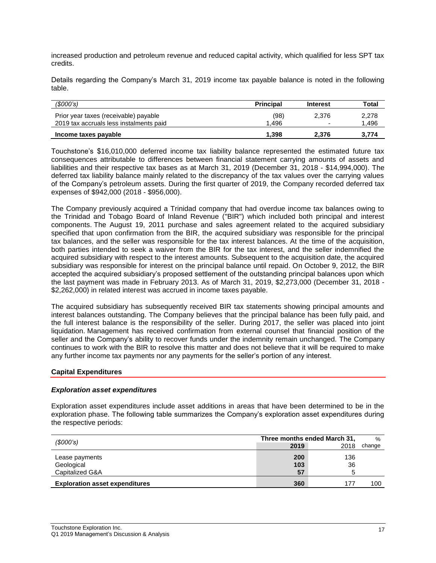increased production and petroleum revenue and reduced capital activity, which qualified for less SPT tax credits.

Details regarding the Company's March 31, 2019 income tax payable balance is noted in the following table.

| (S000's)                                                                         | <b>Principal</b> | <b>Interest</b>                   | Total          |
|----------------------------------------------------------------------------------|------------------|-----------------------------------|----------------|
| Prior year taxes (receivable) payable<br>2019 tax accruals less instalments paid | (98)<br>.496     | 2.376<br>$\overline{\phantom{0}}$ | 2,278<br>1.496 |
| Income taxes payable                                                             | 1.398            | 2.376                             | 3,774          |

Touchstone's \$16,010,000 deferred income tax liability balance represented the estimated future tax consequences attributable to differences between financial statement carrying amounts of assets and liabilities and their respective tax bases as at March 31, 2019 (December 31, 2018 - \$14,994,000). The deferred tax liability balance mainly related to the discrepancy of the tax values over the carrying values of the Company's petroleum assets. During the first quarter of 2019, the Company recorded deferred tax expenses of \$942,000 (2018 - \$956,000).

The Company previously acquired a Trinidad company that had overdue income tax balances owing to the Trinidad and Tobago Board of Inland Revenue ("BIR") which included both principal and interest components. The August 19, 2011 purchase and sales agreement related to the acquired subsidiary specified that upon confirmation from the BIR, the acquired subsidiary was responsible for the principal tax balances, and the seller was responsible for the tax interest balances. At the time of the acquisition, both parties intended to seek a waiver from the BIR for the tax interest, and the seller indemnified the acquired subsidiary with respect to the interest amounts. Subsequent to the acquisition date, the acquired subsidiary was responsible for interest on the principal balance until repaid. On October 9, 2012, the BIR accepted the acquired subsidiary's proposed settlement of the outstanding principal balances upon which the last payment was made in February 2013. As of March 31, 2019, \$2,273,000 (December 31, 2018 - \$2,262,000) in related interest was accrued in income taxes payable.

The acquired subsidiary has subsequently received BIR tax statements showing principal amounts and interest balances outstanding. The Company believes that the principal balance has been fully paid, and the full interest balance is the responsibility of the seller. During 2017, the seller was placed into joint liquidation. Management has received confirmation from external counsel that financial position of the seller and the Company's ability to recover funds under the indemnity remain unchanged. The Company continues to work with the BIR to resolve this matter and does not believe that it will be required to make any further income tax payments nor any payments for the seller's portion of any interest.

### **Capital Expenditures**

### *Exploration asset expenditures*

Exploration asset expenditures include asset additions in areas that have been determined to be in the exploration phase. The following table summarizes the Company's exploration asset expenditures during the respective periods:

| (\$000's)                             | Three months ended March 31, |      | $\%$   |
|---------------------------------------|------------------------------|------|--------|
|                                       | 2019                         | 2018 | change |
| Lease payments                        | 200                          | 136  |        |
| Geological                            | 103                          | 36   |        |
| Capitalized G&A                       | 57                           | ວ    |        |
| <b>Exploration asset expenditures</b> | 360                          | 177  | 100    |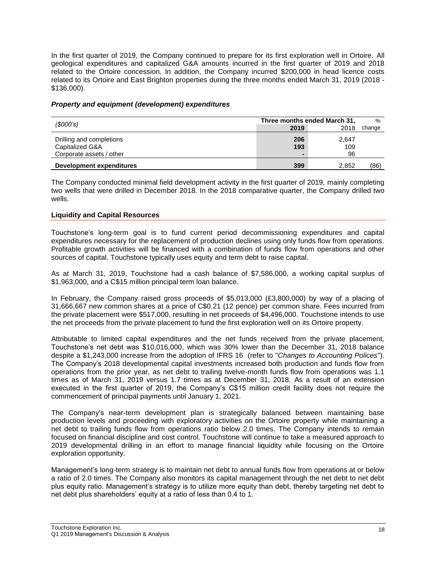In the first quarter of 2019, the Company continued to prepare for its first exploration well in Ortoire. All geological expenditures and capitalized G&A amounts incurred in the first quarter of 2019 and 2018 related to the Ortoire concession. In addition, the Company incurred \$200,000 in head licence costs related to its Ortoire and East Brighton properties during the three months ended March 31, 2019 (2018 - \$136,000).

# *Property and equipment (development) expenditures*

| (S000's)                                                                |                              | Three months ended March 31, |        |  |
|-------------------------------------------------------------------------|------------------------------|------------------------------|--------|--|
|                                                                         | 2019                         | 2018                         | change |  |
| Drilling and completions<br>Capitalized G&A<br>Corporate assets / other | 206<br>193<br>$\blacksquare$ | 2.647<br>109<br>96           |        |  |
| Development expenditures                                                | 399                          | 2,852                        | (86)   |  |

The Company conducted minimal field development activity in the first quarter of 2019, mainly completing two wells that were drilled in December 2018. In the 2018 comparative quarter, the Company drilled two wells.

# **Liquidity and Capital Resources**

Touchstone's long-term goal is to fund current period decommissioning expenditures and capital expenditures necessary for the replacement of production declines using only funds flow from operations. Profitable growth activities will be financed with a combination of funds flow from operations and other sources of capital. Touchstone typically uses equity and term debt to raise capital.

As at March 31, 2019, Touchstone had a cash balance of \$7,586,000, a working capital surplus of \$1,963,000, and a C\$15 million principal term loan balance.

In February, the Company raised gross proceeds of \$5,013,000 (£3,800,000) by way of a placing of 31,666,667 new common shares at a price of C\$0.21 (12 pence) per common share. Fees incurred from the private placement were \$517,000, resulting in net proceeds of \$4,496,000. Touchstone intends to use the net proceeds from the private placement to fund the first exploration well on its Ortoire property.

Attributable to limited capital expenditures and the net funds received from the private placement, Touchstone's net debt was \$10,016,000, which was 30% lower than the December 31, 2018 balance despite a \$1,243,000 increase from the adoption of IFRS 16 (refer to "*Changes to Accounting Polices*"). The Company's 2018 developmental capital investments increased both production and funds flow from operations from the prior year, as net debt to trailing twelve-month funds flow from operations was 1.1 times as of March 31, 2019 versus 1.7 times as at December 31, 2018. As a result of an extension executed in the first quarter of 2019, the Company's C\$15 million credit facility does not require the commencement of principal payments until January 1, 2021.

The Company's near-term development plan is strategically balanced between maintaining base production levels and proceeding with exploratory activities on the Ortoire property while maintaining a net debt to trailing funds flow from operations ratio below 2.0 times. The Company intends to remain focused on financial discipline and cost control. Touchstone will continue to take a measured approach to 2019 developmental drilling in an effort to manage financial liquidity while focusing on the Ortoire exploration opportunity.

Management's long-term strategy is to maintain net debt to annual funds flow from operations at or below a ratio of 2.0 times. The Company also monitors its capital management through the net debt to net debt plus equity ratio. Management's strategy is to utilize more equity than debt, thereby targeting net debt to net debt plus shareholders' equity at a ratio of less than 0.4 to 1.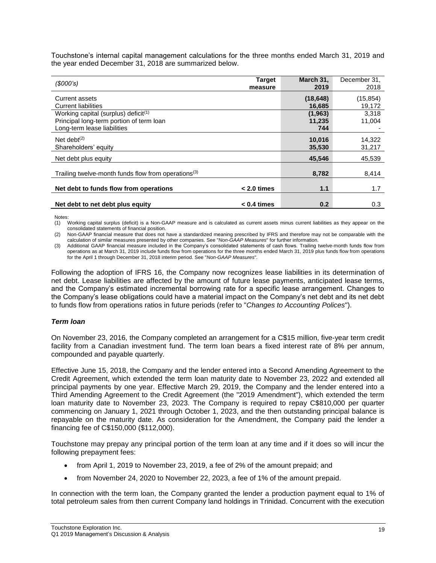Touchstone's internal capital management calculations for the three months ended March 31, 2019 and the year ended December 31, 2018 are summarized below.

| (S000's)                                                                                                           | <b>Target</b><br>measure | March 31,<br>2019        | December 31,<br>2018 |
|--------------------------------------------------------------------------------------------------------------------|--------------------------|--------------------------|----------------------|
| Current assets<br><b>Current liabilities</b>                                                                       |                          | (18, 648)<br>16,685      | (15, 854)<br>19,172  |
| Working capital (surplus) deficit $(1)$<br>Principal long-term portion of term loan<br>Long-term lease liabilities |                          | (1,963)<br>11,235<br>744 | 3,318<br>11,004      |
| Net debt $(2)$<br>Shareholders' equity                                                                             |                          | 10,016<br>35,530         | 14,322<br>31,217     |
| Net debt plus equity                                                                                               |                          | 45,546                   | 45,539               |
| Trailing twelve-month funds flow from operations <sup>(3)</sup>                                                    |                          | 8,782                    | 8,414                |
| Net debt to funds flow from operations                                                                             | $< 2.0$ times            | 1.1                      | 1.7                  |
| Net debt to net debt plus equity                                                                                   | $< 0.4$ times            | 0.2                      | 0.3                  |

Notes:

(1) Working capital surplus (deficit) is a Non-GAAP measure and is calculated as current assets minus current liabilities as they appear on the consolidated statements of financial position.

(2) Non-GAAP financial measure that does not have a standardized meaning prescribed by IFRS and therefore may not be comparable with the calculation of similar measures presented by other companies. See "*Non-GAAP Measures*" for further information.

(3) Additional GAAP financial measure included in the Company's consolidated statements of cash flows. Trailing twelve-month funds flow from operations as at March 31, 2019 include funds flow from operations for the three months ended March 31, 2019 plus funds flow from operations for the April 1 through December 31, 2018 interim period. See "*Non-GAAP Measures*"*.*

Following the adoption of IFRS 16, the Company now recognizes lease liabilities in its determination of net debt. Lease liabilities are affected by the amount of future lease payments, anticipated lease terms, and the Company's estimated incremental borrowing rate for a specific lease arrangement. Changes to the Company's lease obligations could have a material impact on the Company's net debt and its net debt to funds flow from operations ratios in future periods (refer to "*Changes to Accounting Polices*").

# *Term loan*

On November 23, 2016, the Company completed an arrangement for a C\$15 million, five-year term credit facility from a Canadian investment fund. The term loan bears a fixed interest rate of 8% per annum, compounded and payable quarterly.

Effective June 15, 2018, the Company and the lender entered into a Second Amending Agreement to the Credit Agreement, which extended the term loan maturity date to November 23, 2022 and extended all principal payments by one year. Effective March 29, 2019, the Company and the lender entered into a Third Amending Agreement to the Credit Agreement (the "2019 Amendment"), which extended the term loan maturity date to November 23, 2023. The Company is required to repay C\$810,000 per quarter commencing on January 1, 2021 through October 1, 2023, and the then outstanding principal balance is repayable on the maturity date. As consideration for the Amendment, the Company paid the lender a financing fee of C\$150,000 (\$112,000).

Touchstone may prepay any principal portion of the term loan at any time and if it does so will incur the following prepayment fees:

- from April 1, 2019 to November 23, 2019, a fee of 2% of the amount prepaid; and
- from November 24, 2020 to November 22, 2023, a fee of 1% of the amount prepaid.

In connection with the term loan, the Company granted the lender a production payment equal to 1% of total petroleum sales from then current Company land holdings in Trinidad. Concurrent with the execution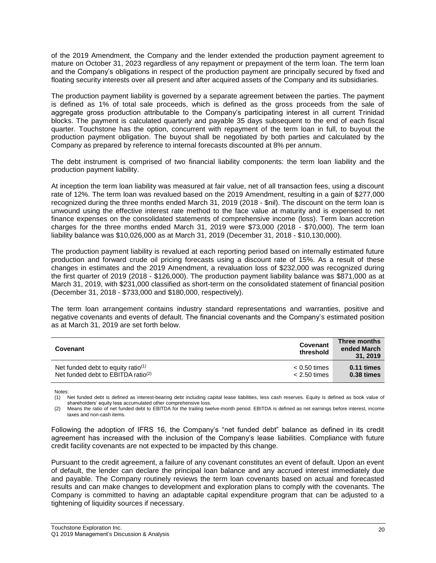of the 2019 Amendment, the Company and the lender extended the production payment agreement to mature on October 31, 2023 regardless of any repayment or prepayment of the term loan. The term loan and the Company's obligations in respect of the production payment are principally secured by fixed and floating security interests over all present and after acquired assets of the Company and its subsidiaries.

The production payment liability is governed by a separate agreement between the parties. The payment is defined as 1% of total sale proceeds, which is defined as the gross proceeds from the sale of aggregate gross production attributable to the Company's participating interest in all current Trinidad blocks. The payment is calculated quarterly and payable 35 days subsequent to the end of each fiscal quarter. Touchstone has the option, concurrent with repayment of the term loan in full, to buyout the production payment obligation. The buyout shall be negotiated by both parties and calculated by the Company as prepared by reference to internal forecasts discounted at 8% per annum.

The debt instrument is comprised of two financial liability components: the term loan liability and the production payment liability.

At inception the term loan liability was measured at fair value, net of all transaction fees, using a discount rate of 12%. The term loan was revalued based on the 2019 Amendment, resulting in a gain of \$277,000 recognized during the three months ended March 31, 2019 (2018 - \$nil). The discount on the term loan is unwound using the effective interest rate method to the face value at maturity and is expensed to net finance expenses on the consolidated statements of comprehensive income (loss). Term loan accretion charges for the three months ended March 31, 2019 were \$73,000 (2018 - \$70,000). The term loan liability balance was \$10,026,000 as at March 31, 2019 (December 31, 2018 - \$10,130,000).

The production payment liability is revalued at each reporting period based on internally estimated future production and forward crude oil pricing forecasts using a discount rate of 15%. As a result of these changes in estimates and the 2019 Amendment, a revaluation loss of \$232,000 was recognized during the first quarter of 2019 (2018 - \$126,000). The production payment liability balance was \$871,000 as at March 31, 2019, with \$231,000 classified as short-term on the consolidated statement of financial position (December 31, 2018 - \$733,000 and \$180,000, respectively).

The term loan arrangement contains industry standard representations and warranties, positive and negative covenants and events of default. The financial covenants and the Company's estimated position as at March 31, 2019 are set forth below.

| Covenant                                       | Covenant<br>threshold | Three months<br>ended March<br>31, 2019 |
|------------------------------------------------|-----------------------|-----------------------------------------|
| Net funded debt to equity ratio $(1)$          | $< 0.50$ times        | $0.11 \times$                           |
| Net funded debt to EBITDA ratio <sup>(2)</sup> | $< 2.50$ times        | 0.38 times                              |

Notes:

(1) Net funded debt is defined as interest-bearing debt including capital lease liabilities, less cash reserves. Equity is defined as book value of shareholders' equity less accumulated other comprehensive loss.

(2) Means the ratio of net funded debt to EBITDA for the trailing twelve-month period. EBITDA is defined as net earnings before interest, income taxes and non-cash items.

Following the adoption of IFRS 16, the Company's "net funded debt" balance as defined in its credit agreement has increased with the inclusion of the Company's lease liabilities. Compliance with future credit facility covenants are not expected to be impacted by this change.

Pursuant to the credit agreement, a failure of any covenant constitutes an event of default. Upon an event of default, the lender can declare the principal loan balance and any accrued interest immediately due and payable. The Company routinely reviews the term loan covenants based on actual and forecasted results and can make changes to development and exploration plans to comply with the covenants. The Company is committed to having an adaptable capital expenditure program that can be adjusted to a tightening of liquidity sources if necessary.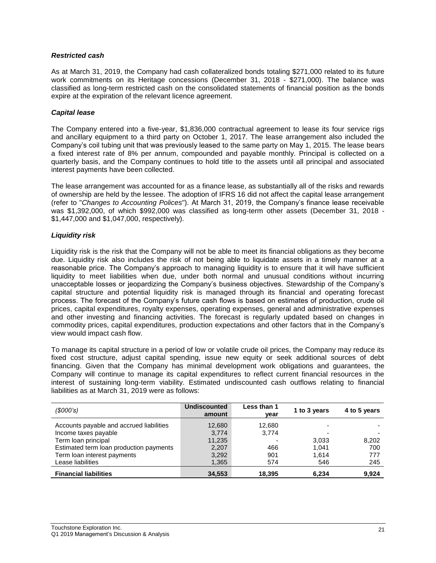# *Restricted cash*

As at March 31, 2019, the Company had cash collateralized bonds totaling \$271,000 related to its future work commitments on its Heritage concessions (December 31, 2018 - \$271,000). The balance was classified as long-term restricted cash on the consolidated statements of financial position as the bonds expire at the expiration of the relevant licence agreement.

# *Capital lease*

The Company entered into a five-year, \$1,836,000 contractual agreement to lease its four service rigs and ancillary equipment to a third party on October 1, 2017. The lease arrangement also included the Company's coil tubing unit that was previously leased to the same party on May 1, 2015. The lease bears a fixed interest rate of 8% per annum, compounded and payable monthly. Principal is collected on a quarterly basis, and the Company continues to hold title to the assets until all principal and associated interest payments have been collected.

The lease arrangement was accounted for as a finance lease, as substantially all of the risks and rewards of ownership are held by the lessee. The adoption of IFRS 16 did not affect the capital lease arrangement (refer to "*Changes to Accounting Polices*"). At March 31, 2019, the Company's finance lease receivable was \$1,392,000, of which \$992,000 was classified as long-term other assets (December 31, 2018 - \$1,447,000 and \$1,047,000, respectively).

# *Liquidity risk*

Liquidity risk is the risk that the Company will not be able to meet its financial obligations as they become due. Liquidity risk also includes the risk of not being able to liquidate assets in a timely manner at a reasonable price. The Company's approach to managing liquidity is to ensure that it will have sufficient liquidity to meet liabilities when due, under both normal and unusual conditions without incurring unacceptable losses or jeopardizing the Company's business objectives. Stewardship of the Company's capital structure and potential liquidity risk is managed through its financial and operating forecast process. The forecast of the Company's future cash flows is based on estimates of production, crude oil prices, capital expenditures, royalty expenses, operating expenses, general and administrative expenses and other investing and financing activities. The forecast is regularly updated based on changes in commodity prices, capital expenditures, production expectations and other factors that in the Company's view would impact cash flow.

To manage its capital structure in a period of low or volatile crude oil prices, the Company may reduce its fixed cost structure, adjust capital spending, issue new equity or seek additional sources of debt financing. Given that the Company has minimal development work obligations and guarantees, the Company will continue to manage its capital expenditures to reflect current financial resources in the interest of sustaining long-term viability. Estimated undiscounted cash outflows relating to financial liabilities as at March 31, 2019 were as follows:

| (S000's)                                 | <b>Undiscounted</b><br>amount | Less than 1<br>year | 1 to 3 years | 4 to 5 years |
|------------------------------------------|-------------------------------|---------------------|--------------|--------------|
| Accounts payable and accrued liabilities | 12,680                        | 12,680              |              |              |
| Income taxes payable                     | 3,774                         | 3,774               |              |              |
| Term loan principal                      | 11,235                        |                     | 3,033        | 8,202        |
| Estimated term loan production payments  | 2,207                         | 466                 | 1.041        | 700          |
| Term loan interest payments              | 3,292                         | 901                 | 1.614        | 777          |
| Lease liabilities                        | 1,365                         | 574                 | 546          | 245          |
| <b>Financial liabilities</b>             | 34,553                        | 18,395              | 6,234        | 9,924        |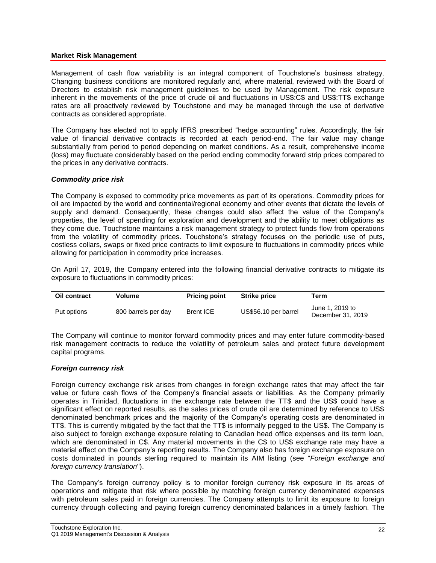### **Market Risk Management**

Management of cash flow variability is an integral component of Touchstone's business strategy. Changing business conditions are monitored regularly and, where material, reviewed with the Board of Directors to establish risk management guidelines to be used by Management. The risk exposure inherent in the movements of the price of crude oil and fluctuations in US\$:C\$ and US\$:TT\$ exchange rates are all proactively reviewed by Touchstone and may be managed through the use of derivative contracts as considered appropriate.

The Company has elected not to apply IFRS prescribed "hedge accounting" rules. Accordingly, the fair value of financial derivative contracts is recorded at each period-end. The fair value may change substantially from period to period depending on market conditions. As a result, comprehensive income (loss) may fluctuate considerably based on the period ending commodity forward strip prices compared to the prices in any derivative contracts.

### *Commodity price risk*

The Company is exposed to commodity price movements as part of its operations. Commodity prices for oil are impacted by the world and continental/regional economy and other events that dictate the levels of supply and demand. Consequently, these changes could also affect the value of the Company's properties, the level of spending for exploration and development and the ability to meet obligations as they come due. Touchstone maintains a risk management strategy to protect funds flow from operations from the volatility of commodity prices. Touchstone's strategy focuses on the periodic use of puts, costless collars, swaps or fixed price contracts to limit exposure to fluctuations in commodity prices while allowing for participation in commodity price increases.

On April 17, 2019, the Company entered into the following financial derivative contracts to mitigate its exposure to fluctuations in commodity prices:

| <b>Oil contract</b> | Volume              | <b>Pricing point</b> | <b>Strike price</b>  | Term                                 |
|---------------------|---------------------|----------------------|----------------------|--------------------------------------|
| Put options         | 800 barrels per day | Brent ICE            | US\$56.10 per barrel | June 1, 2019 to<br>December 31, 2019 |

The Company will continue to monitor forward commodity prices and may enter future commodity-based risk management contracts to reduce the volatility of petroleum sales and protect future development capital programs.

### *Foreign currency risk*

Foreign currency exchange risk arises from changes in foreign exchange rates that may affect the fair value or future cash flows of the Company's financial assets or liabilities. As the Company primarily operates in Trinidad, fluctuations in the exchange rate between the TT\$ and the US\$ could have a significant effect on reported results, as the sales prices of crude oil are determined by reference to US\$ denominated benchmark prices and the majority of the Company's operating costs are denominated in TT\$. This is currently mitigated by the fact that the TT\$ is informally pegged to the US\$. The Company is also subject to foreign exchange exposure relating to Canadian head office expenses and its term loan, which are denominated in C\$. Any material movements in the C\$ to US\$ exchange rate may have a material effect on the Company's reporting results. The Company also has foreign exchange exposure on costs dominated in pounds sterling required to maintain its AIM listing (see "*Foreign exchange and foreign currency translation*").

The Company's foreign currency policy is to monitor foreign currency risk exposure in its areas of operations and mitigate that risk where possible by matching foreign currency denominated expenses with petroleum sales paid in foreign currencies. The Company attempts to limit its exposure to foreign currency through collecting and paying foreign currency denominated balances in a timely fashion. The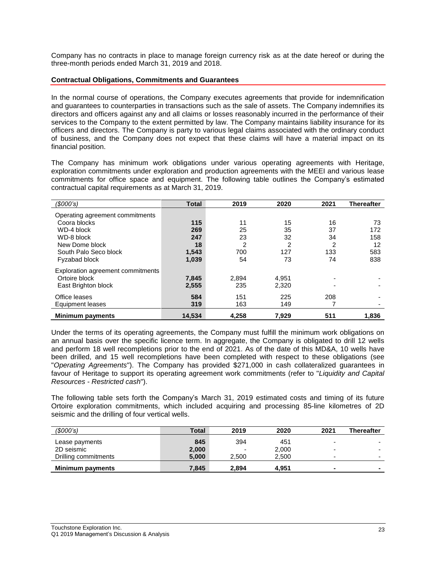Company has no contracts in place to manage foreign currency risk as at the date hereof or during the three-month periods ended March 31, 2019 and 2018.

### **Contractual Obligations, Commitments and Guarantees**

In the normal course of operations, the Company executes agreements that provide for indemnification and guarantees to counterparties in transactions such as the sale of assets. The Company indemnifies its directors and officers against any and all claims or losses reasonably incurred in the performance of their services to the Company to the extent permitted by law. The Company maintains liability insurance for its officers and directors. The Company is party to various legal claims associated with the ordinary conduct of business, and the Company does not expect that these claims will have a material impact on its financial position.

The Company has minimum work obligations under various operating agreements with Heritage, exploration commitments under exploration and production agreements with the MEEI and various lease commitments for office space and equipment. The following table outlines the Company's estimated contractual capital requirements as at March 31, 2019.

| (\$000's)                         | <b>Total</b> | 2019  | 2020  | 2021 | <b>Thereafter</b> |
|-----------------------------------|--------------|-------|-------|------|-------------------|
| Operating agreement commitments   |              |       |       |      |                   |
| Coora blocks                      | 115          | 11    | 15    | 16   | 73                |
| WD-4 block                        | 269          | 25    | 35    | 37   | 172               |
| WD-8 block                        | 247          | 23    | 32    | 34   | 158               |
| New Dome block                    | 18           | 2     | 2     | 2    | 12                |
| South Palo Seco block             | 1,543        | 700   | 127   | 133  | 583               |
| Fyzabad block                     | 1,039        | 54    | 73    | 74   | 838               |
| Exploration agreement commitments |              |       |       |      |                   |
| Ortoire block                     | 7,845        | 2,894 | 4,951 |      |                   |
| East Brighton block               | 2,555        | 235   | 2,320 |      |                   |
| Office leases                     | 584          | 151   | 225   | 208  |                   |
| Equipment leases                  | 319          | 163   | 149   |      |                   |
| <b>Minimum payments</b>           | 14.534       | 4.258 | 7.929 | 511  | 1.836             |

Under the terms of its operating agreements, the Company must fulfill the minimum work obligations on an annual basis over the specific licence term. In aggregate, the Company is obligated to drill 12 wells and perform 18 well recompletions prior to the end of 2021. As of the date of this MD&A, 10 wells have been drilled, and 15 well recompletions have been completed with respect to these obligations (see "*Operating Agreements*"). The Company has provided \$271,000 in cash collateralized guarantees in favour of Heritage to support its operating agreement work commitments (refer to "*Liquidity and Capital Resources - Restricted cash*").

The following table sets forth the Company's March 31, 2019 estimated costs and timing of its future Ortoire exploration commitments, which included acquiring and processing 85-line kilometres of 2D seismic and the drilling of four vertical wells.

| (S000's)                | Total | 2019                     | 2020  | 2021                     | <b>Thereafter</b>        |
|-------------------------|-------|--------------------------|-------|--------------------------|--------------------------|
| Lease payments          | 845   | 394                      | 451   | $\blacksquare$           |                          |
| 2D seismic              | 2,000 | $\overline{\phantom{0}}$ | 2,000 | $\overline{\phantom{0}}$ | -                        |
| Drilling commitments    | 5.000 | 2,500                    | 2,500 | -                        | $\overline{\phantom{0}}$ |
| <b>Minimum payments</b> | 7.845 | 2.894                    | 4.951 |                          | -                        |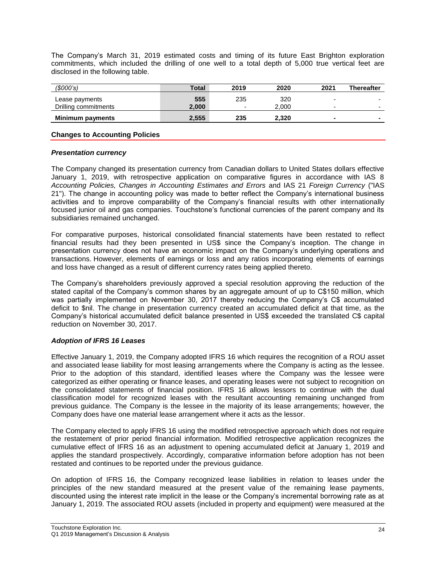The Company's March 31, 2019 estimated costs and timing of its future East Brighton exploration commitments, which included the drilling of one well to a total depth of 5,000 true vertical feet are disclosed in the following table.

| (\$000's)                              | Total        | 2019     | 2020         | 2021                          | <b>Thereafter</b>                                    |
|----------------------------------------|--------------|----------|--------------|-------------------------------|------------------------------------------------------|
| Lease payments<br>Drilling commitments | 555<br>2.000 | 235<br>- | 320<br>2.000 | $\overline{\phantom{0}}$<br>- | $\overline{\phantom{0}}$<br>$\overline{\phantom{0}}$ |
| Minimum payments                       | 2,555        | 235      | 2.320        |                               |                                                      |

### **Changes to Accounting Policies**

### *Presentation currency*

The Company changed its presentation currency from Canadian dollars to United States dollars effective January 1, 2019, with retrospective application on comparative figures in accordance with IAS 8 *Accounting Policies, Changes in Accounting Estimates and Errors* and IAS 21 *Foreign Currency* ("IAS 21"). The change in accounting policy was made to better reflect the Company's international business activities and to improve comparability of the Company's financial results with other internationally focused junior oil and gas companies. Touchstone's functional currencies of the parent company and its subsidiaries remained unchanged.

For comparative purposes, historical consolidated financial statements have been restated to reflect financial results had they been presented in US\$ since the Company's inception. The change in presentation currency does not have an economic impact on the Company's underlying operations and transactions. However, elements of earnings or loss and any ratios incorporating elements of earnings and loss have changed as a result of different currency rates being applied thereto.

The Company's shareholders previously approved a special resolution approving the reduction of the stated capital of the Company's common shares by an aggregate amount of up to C\$150 million, which was partially implemented on November 30, 2017 thereby reducing the Company's C\$ accumulated deficit to \$nil. The change in presentation currency created an accumulated deficit at that time, as the Company's historical accumulated deficit balance presented in US\$ exceeded the translated C\$ capital reduction on November 30, 2017.

# *Adoption of IFRS 16 Leases*

Effective January 1, 2019, the Company adopted IFRS 16 which requires the recognition of a ROU asset and associated lease liability for most leasing arrangements where the Company is acting as the lessee. Prior to the adoption of this standard, identified leases where the Company was the lessee were categorized as either operating or finance leases, and operating leases were not subject to recognition on the consolidated statements of financial position. IFRS 16 allows lessors to continue with the dual classification model for recognized leases with the resultant accounting remaining unchanged from previous guidance. The Company is the lessee in the majority of its lease arrangements; however, the Company does have one material lease arrangement where it acts as the lessor.

The Company elected to apply IFRS 16 using the modified retrospective approach which does not require the restatement of prior period financial information. Modified retrospective application recognizes the cumulative effect of IFRS 16 as an adjustment to opening accumulated deficit at January 1, 2019 and applies the standard prospectively. Accordingly, comparative information before adoption has not been restated and continues to be reported under the previous guidance.

On adoption of IFRS 16, the Company recognized lease liabilities in relation to leases under the principles of the new standard measured at the present value of the remaining lease payments, discounted using the interest rate implicit in the lease or the Company's incremental borrowing rate as at January 1, 2019. The associated ROU assets (included in property and equipment) were measured at the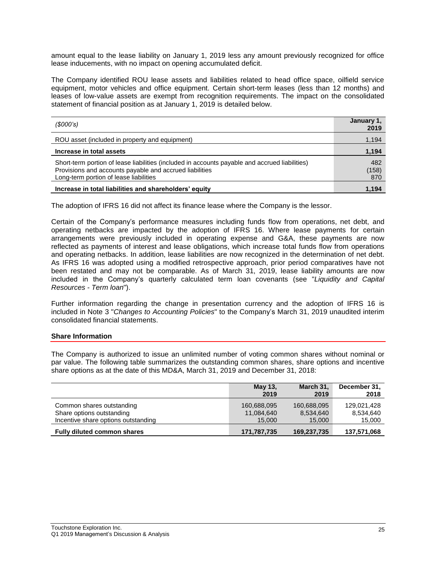amount equal to the lease liability on January 1, 2019 less any amount previously recognized for office lease inducements, with no impact on opening accumulated deficit.

The Company identified ROU lease assets and liabilities related to head office space, oilfield service equipment, motor vehicles and office equipment. Certain short-term leases (less than 12 months) and leases of low-value assets are exempt from recognition requirements. The impact on the consolidated statement of financial position as at January 1, 2019 is detailed below.

| (S000's)                                                                                                                                                                                            | January 1,<br>2019  |
|-----------------------------------------------------------------------------------------------------------------------------------------------------------------------------------------------------|---------------------|
| ROU asset (included in property and equipment)                                                                                                                                                      | 1,194               |
| Increase in total assets                                                                                                                                                                            | 1,194               |
| Short-term portion of lease liabilities (included in accounts payable and accrued liabilities)<br>Provisions and accounts payable and accrued liabilities<br>Long-term portion of lease liabilities | 482<br>(158)<br>870 |
| Increase in total liabilities and shareholders' equity                                                                                                                                              | 1.194               |

The adoption of IFRS 16 did not affect its finance lease where the Company is the lessor.

Certain of the Company's performance measures including funds flow from operations, net debt, and operating netbacks are impacted by the adoption of IFRS 16. Where lease payments for certain arrangements were previously included in operating expense and G&A, these payments are now reflected as payments of interest and lease obligations, which increase total funds flow from operations and operating netbacks. In addition, lease liabilities are now recognized in the determination of net debt. As IFRS 16 was adopted using a modified retrospective approach, prior period comparatives have not been restated and may not be comparable. As of March 31, 2019, lease liability amounts are now included in the Company's quarterly calculated term loan covenants (see "*Liquidity and Capital Resources - Term loan*").

Further information regarding the change in presentation currency and the adoption of IFRS 16 is included in Note 3 "*Changes to Accounting Policies*" to the Company's March 31, 2019 unaudited interim consolidated financial statements.

# **Share Information**

The Company is authorized to issue an unlimited number of voting common shares without nominal or par value. The following table summarizes the outstanding common shares, share options and incentive share options as at the date of this MD&A, March 31, 2019 and December 31, 2018:

|                                     | May 13,     | March 31,   | December 31, |
|-------------------------------------|-------------|-------------|--------------|
|                                     | 2019        | 2019        | 2018         |
| Common shares outstanding           | 160,688,095 | 160,688,095 | 129,021,428  |
| Share options outstanding           | 11,084,640  | 8,534,640   | 8,534,640    |
| Incentive share options outstanding | 15,000      | 15,000      | 15,000       |
| <b>Fully diluted common shares</b>  | 171,787,735 | 169,237,735 | 137,571,068  |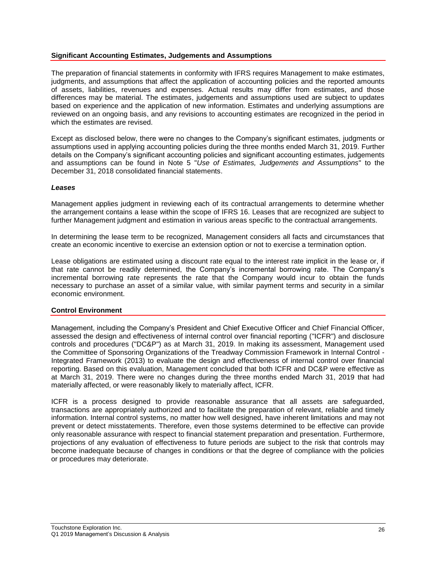# **Significant Accounting Estimates, Judgements and Assumptions**

The preparation of financial statements in conformity with IFRS requires Management to make estimates, judgments, and assumptions that affect the application of accounting policies and the reported amounts of assets, liabilities, revenues and expenses. Actual results may differ from estimates, and those differences may be material. The estimates, judgements and assumptions used are subject to updates based on experience and the application of new information. Estimates and underlying assumptions are reviewed on an ongoing basis, and any revisions to accounting estimates are recognized in the period in which the estimates are revised.

Except as disclosed below, there were no changes to the Company's significant estimates, judgments or assumptions used in applying accounting policies during the three months ended March 31, 2019. Further details on the Company's significant accounting policies and significant accounting estimates, judgements and assumptions can be found in Note 5 "*Use of Estimates, Judgements and Assumptions*" to the December 31, 2018 consolidated financial statements.

### *Leases*

Management applies judgment in reviewing each of its contractual arrangements to determine whether the arrangement contains a lease within the scope of IFRS 16. Leases that are recognized are subject to further Management judgment and estimation in various areas specific to the contractual arrangements.

In determining the lease term to be recognized, Management considers all facts and circumstances that create an economic incentive to exercise an extension option or not to exercise a termination option.

Lease obligations are estimated using a discount rate equal to the interest rate implicit in the lease or, if that rate cannot be readily determined, the Company's incremental borrowing rate. The Company's incremental borrowing rate represents the rate that the Company would incur to obtain the funds necessary to purchase an asset of a similar value, with similar payment terms and security in a similar economic environment.

### **Control Environment**

Management, including the Company's President and Chief Executive Officer and Chief Financial Officer, assessed the design and effectiveness of internal control over financial reporting ("ICFR") and disclosure controls and procedures ("DC&P") as at March 31, 2019. In making its assessment, Management used the Committee of Sponsoring Organizations of the Treadway Commission Framework in Internal Control - Integrated Framework (2013) to evaluate the design and effectiveness of internal control over financial reporting. Based on this evaluation, Management concluded that both ICFR and DC&P were effective as at March 31, 2019. There were no changes during the three months ended March 31, 2019 that had materially affected, or were reasonably likely to materially affect, ICFR.

ICFR is a process designed to provide reasonable assurance that all assets are safeguarded, transactions are appropriately authorized and to facilitate the preparation of relevant, reliable and timely information. Internal control systems, no matter how well designed, have inherent limitations and may not prevent or detect misstatements. Therefore, even those systems determined to be effective can provide only reasonable assurance with respect to financial statement preparation and presentation. Furthermore, projections of any evaluation of effectiveness to future periods are subject to the risk that controls may become inadequate because of changes in conditions or that the degree of compliance with the policies or procedures may deteriorate.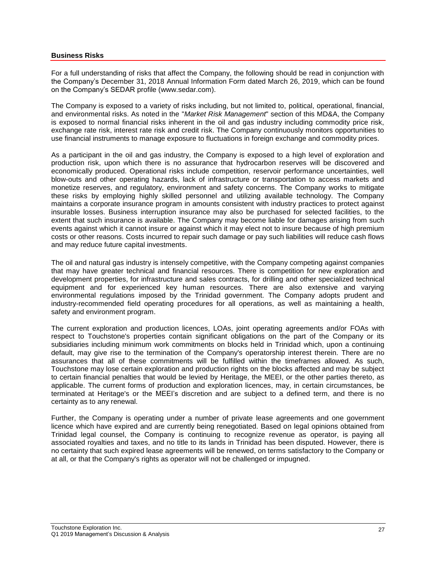# **Business Risks**

For a full understanding of risks that affect the Company, the following should be read in conjunction with the Company's December 31, 2018 Annual Information Form dated March 26, 2019, which can be found on the Company's SEDAR profile (www.sedar.com).

The Company is exposed to a variety of risks including, but not limited to, political, operational, financial, and environmental risks. As noted in the "*Market Risk Management*" section of this MD&A, the Company is exposed to normal financial risks inherent in the oil and gas industry including commodity price risk, exchange rate risk, interest rate risk and credit risk. The Company continuously monitors opportunities to use financial instruments to manage exposure to fluctuations in foreign exchange and commodity prices.

As a participant in the oil and gas industry, the Company is exposed to a high level of exploration and production risk, upon which there is no assurance that hydrocarbon reserves will be discovered and economically produced. Operational risks include competition, reservoir performance uncertainties, well blow-outs and other operating hazards, lack of infrastructure or transportation to access markets and monetize reserves, and regulatory, environment and safety concerns. The Company works to mitigate these risks by employing highly skilled personnel and utilizing available technology. The Company maintains a corporate insurance program in amounts consistent with industry practices to protect against insurable losses. Business interruption insurance may also be purchased for selected facilities, to the extent that such insurance is available. The Company may become liable for damages arising from such events against which it cannot insure or against which it may elect not to insure because of high premium costs or other reasons. Costs incurred to repair such damage or pay such liabilities will reduce cash flows and may reduce future capital investments.

The oil and natural gas industry is intensely competitive, with the Company competing against companies that may have greater technical and financial resources. There is competition for new exploration and development properties, for infrastructure and sales contracts, for drilling and other specialized technical equipment and for experienced key human resources. There are also extensive and varying environmental regulations imposed by the Trinidad government. The Company adopts prudent and industry-recommended field operating procedures for all operations, as well as maintaining a health, safety and environment program.

The current exploration and production licences, LOAs, joint operating agreements and/or FOAs with respect to Touchstone's properties contain significant obligations on the part of the Company or its subsidiaries including minimum work commitments on blocks held in Trinidad which, upon a continuing default, may give rise to the termination of the Company's operatorship interest therein. There are no assurances that all of these commitments will be fulfilled within the timeframes allowed. As such, Touchstone may lose certain exploration and production rights on the blocks affected and may be subject to certain financial penalties that would be levied by Heritage, the MEEI, or the other parties thereto, as applicable. The current forms of production and exploration licences, may, in certain circumstances, be terminated at Heritage's or the MEEI's discretion and are subject to a defined term, and there is no certainty as to any renewal.

Further, the Company is operating under a number of private lease agreements and one government licence which have expired and are currently being renegotiated. Based on legal opinions obtained from Trinidad legal counsel, the Company is continuing to recognize revenue as operator, is paying all associated royalties and taxes, and no title to its lands in Trinidad has been disputed. However, there is no certainty that such expired lease agreements will be renewed, on terms satisfactory to the Company or at all, or that the Company's rights as operator will not be challenged or impugned.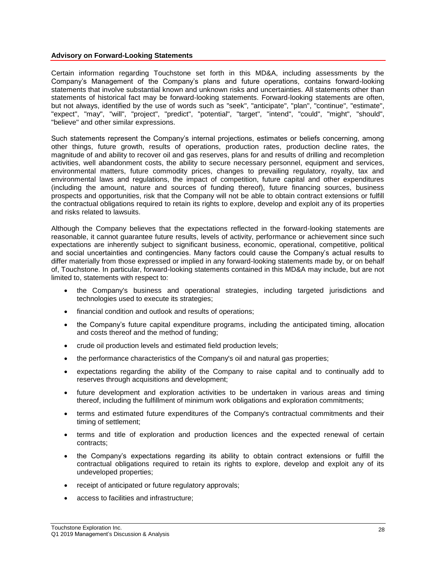### **Advisory on Forward-Looking Statements**

Certain information regarding Touchstone set forth in this MD&A, including assessments by the Company's Management of the Company's plans and future operations, contains forward-looking statements that involve substantial known and unknown risks and uncertainties. All statements other than statements of historical fact may be forward-looking statements. Forward-looking statements are often, but not always, identified by the use of words such as "seek", "anticipate", "plan", "continue", "estimate", "expect", "may", "will", "project", "predict", "potential", "target", "intend", "could", "might", "should", "believe" and other similar expressions.

Such statements represent the Company's internal projections, estimates or beliefs concerning, among other things, future growth, results of operations, production rates, production decline rates, the magnitude of and ability to recover oil and gas reserves, plans for and results of drilling and recompletion activities, well abandonment costs, the ability to secure necessary personnel, equipment and services, environmental matters, future commodity prices, changes to prevailing regulatory, royalty, tax and environmental laws and regulations, the impact of competition, future capital and other expenditures (including the amount, nature and sources of funding thereof), future financing sources, business prospects and opportunities, risk that the Company will not be able to obtain contract extensions or fulfill the contractual obligations required to retain its rights to explore, develop and exploit any of its properties and risks related to lawsuits.

Although the Company believes that the expectations reflected in the forward-looking statements are reasonable, it cannot guarantee future results, levels of activity, performance or achievement since such expectations are inherently subject to significant business, economic, operational, competitive, political and social uncertainties and contingencies. Many factors could cause the Company's actual results to differ materially from those expressed or implied in any forward-looking statements made by, or on behalf of, Touchstone. In particular, forward-looking statements contained in this MD&A may include, but are not limited to, statements with respect to:

- the Company's business and operational strategies, including targeted jurisdictions and technologies used to execute its strategies;
- financial condition and outlook and results of operations;
- the Company's future capital expenditure programs, including the anticipated timing, allocation and costs thereof and the method of funding;
- crude oil production levels and estimated field production levels;
- the performance characteristics of the Company's oil and natural gas properties;
- expectations regarding the ability of the Company to raise capital and to continually add to reserves through acquisitions and development;
- future development and exploration activities to be undertaken in various areas and timing thereof, including the fulfillment of minimum work obligations and exploration commitments;
- terms and estimated future expenditures of the Company's contractual commitments and their timing of settlement;
- terms and title of exploration and production licences and the expected renewal of certain contracts;
- the Company's expectations regarding its ability to obtain contract extensions or fulfill the contractual obligations required to retain its rights to explore, develop and exploit any of its undeveloped properties;
- receipt of anticipated or future regulatory approvals;
- access to facilities and infrastructure;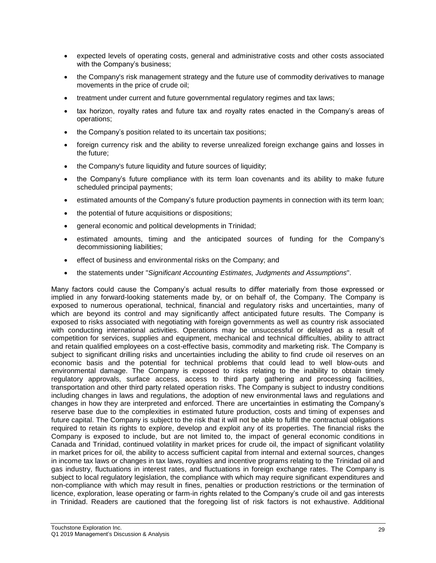- expected levels of operating costs, general and administrative costs and other costs associated with the Company's business;
- the Company's risk management strategy and the future use of commodity derivatives to manage movements in the price of crude oil;
- treatment under current and future governmental regulatory regimes and tax laws;
- tax horizon, royalty rates and future tax and royalty rates enacted in the Company's areas of operations;
- the Company's position related to its uncertain tax positions;
- foreign currency risk and the ability to reverse unrealized foreign exchange gains and losses in the future;
- the Company's future liquidity and future sources of liquidity;
- the Company's future compliance with its term loan covenants and its ability to make future scheduled principal payments;
- estimated amounts of the Company's future production payments in connection with its term loan;
- the potential of future acquisitions or dispositions;
- general economic and political developments in Trinidad;
- estimated amounts, timing and the anticipated sources of funding for the Company's decommissioning liabilities;
- effect of business and environmental risks on the Company; and
- the statements under "*Significant Accounting Estimates, Judgments and Assumptions*".

Many factors could cause the Company's actual results to differ materially from those expressed or implied in any forward-looking statements made by, or on behalf of, the Company. The Company is exposed to numerous operational, technical, financial and regulatory risks and uncertainties, many of which are beyond its control and may significantly affect anticipated future results. The Company is exposed to risks associated with negotiating with foreign governments as well as country risk associated with conducting international activities. Operations may be unsuccessful or delayed as a result of competition for services, supplies and equipment, mechanical and technical difficulties, ability to attract and retain qualified employees on a cost-effective basis, commodity and marketing risk. The Company is subject to significant drilling risks and uncertainties including the ability to find crude oil reserves on an economic basis and the potential for technical problems that could lead to well blow-outs and environmental damage. The Company is exposed to risks relating to the inability to obtain timely regulatory approvals, surface access, access to third party gathering and processing facilities, transportation and other third party related operation risks. The Company is subject to industry conditions including changes in laws and regulations, the adoption of new environmental laws and regulations and changes in how they are interpreted and enforced. There are uncertainties in estimating the Company's reserve base due to the complexities in estimated future production, costs and timing of expenses and future capital. The Company is subject to the risk that it will not be able to fulfill the contractual obligations required to retain its rights to explore, develop and exploit any of its properties. The financial risks the Company is exposed to include, but are not limited to, the impact of general economic conditions in Canada and Trinidad, continued volatility in market prices for crude oil, the impact of significant volatility in market prices for oil, the ability to access sufficient capital from internal and external sources, changes in income tax laws or changes in tax laws, royalties and incentive programs relating to the Trinidad oil and gas industry, fluctuations in interest rates, and fluctuations in foreign exchange rates. The Company is subject to local regulatory legislation, the compliance with which may require significant expenditures and non-compliance with which may result in fines, penalties or production restrictions or the termination of licence, exploration, lease operating or farm-in rights related to the Company's crude oil and gas interests in Trinidad. Readers are cautioned that the foregoing list of risk factors is not exhaustive. Additional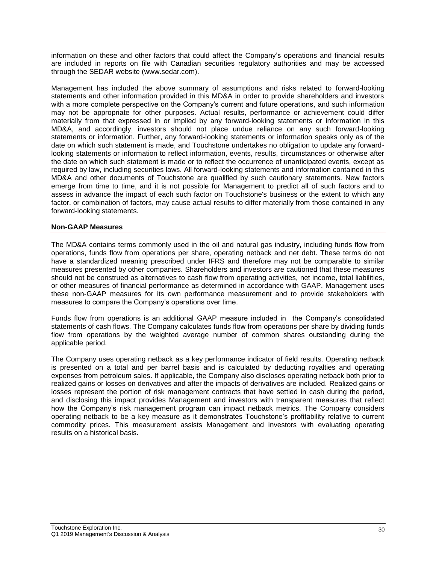information on these and other factors that could affect the Company's operations and financial results are included in reports on file with Canadian securities regulatory authorities and may be accessed through the SEDAR website (www.sedar.com).

Management has included the above summary of assumptions and risks related to forward-looking statements and other information provided in this MD&A in order to provide shareholders and investors with a more complete perspective on the Company's current and future operations, and such information may not be appropriate for other purposes. Actual results, performance or achievement could differ materially from that expressed in or implied by any forward-looking statements or information in this MD&A, and accordingly, investors should not place undue reliance on any such forward-looking statements or information. Further, any forward-looking statements or information speaks only as of the date on which such statement is made, and Touchstone undertakes no obligation to update any forwardlooking statements or information to reflect information, events, results, circumstances or otherwise after the date on which such statement is made or to reflect the occurrence of unanticipated events, except as required by law, including securities laws. All forward-looking statements and information contained in this MD&A and other documents of Touchstone are qualified by such cautionary statements. New factors emerge from time to time, and it is not possible for Management to predict all of such factors and to assess in advance the impact of each such factor on Touchstone's business or the extent to which any factor, or combination of factors, may cause actual results to differ materially from those contained in any forward-looking statements.

### **Non-GAAP Measures**

The MD&A contains terms commonly used in the oil and natural gas industry, including funds flow from operations, funds flow from operations per share, operating netback and net debt. These terms do not have a standardized meaning prescribed under IFRS and therefore may not be comparable to similar measures presented by other companies. Shareholders and investors are cautioned that these measures should not be construed as alternatives to cash flow from operating activities, net income, total liabilities, or other measures of financial performance as determined in accordance with GAAP. Management uses these non-GAAP measures for its own performance measurement and to provide stakeholders with measures to compare the Company's operations over time.

Funds flow from operations is an additional GAAP measure included in the Company's consolidated statements of cash flows. The Company calculates funds flow from operations per share by dividing funds flow from operations by the weighted average number of common shares outstanding during the applicable period.

The Company uses operating netback as a key performance indicator of field results. Operating netback is presented on a total and per barrel basis and is calculated by deducting royalties and operating expenses from petroleum sales. If applicable, the Company also discloses operating netback both prior to realized gains or losses on derivatives and after the impacts of derivatives are included. Realized gains or losses represent the portion of risk management contracts that have settled in cash during the period, and disclosing this impact provides Management and investors with transparent measures that reflect how the Company's risk management program can impact netback metrics. The Company considers operating netback to be a key measure as it demonstrates Touchstone's profitability relative to current commodity prices. This measurement assists Management and investors with evaluating operating results on a historical basis.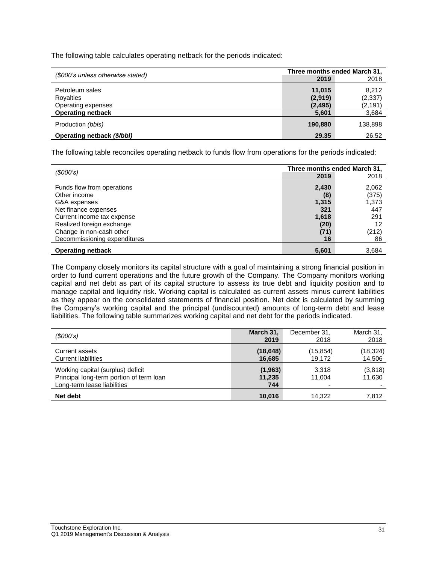The following table calculates operating netback for the periods indicated:

| (\$000's unless otherwise stated) | Three months ended March 31, |                      |  |
|-----------------------------------|------------------------------|----------------------|--|
|                                   | 2019                         | 2018                 |  |
| Petroleum sales                   | 11.015                       | 8.212                |  |
| Royalties<br>Operating expenses   | (2,919)<br>(2, 495)          | (2, 337)<br>(2, 191) |  |
| <b>Operating netback</b>          | 5,601                        | 3,684                |  |
| Production (bbls)                 | 190.880                      | 138,898              |  |
| Operating netback (\$/bbl)        | 29.35                        | 26.52                |  |

The following table reconciles operating netback to funds flow from operations for the periods indicated:

| (S000's)                     | Three months ended March 31, |       |
|------------------------------|------------------------------|-------|
|                              | 2019                         | 2018  |
| Funds flow from operations   | 2,430                        | 2,062 |
| Other income                 | (8)                          | (375) |
| G&A expenses                 | 1,315                        | 1,373 |
| Net finance expenses         | 321                          | 447   |
| Current income tax expense   | 1,618                        | 291   |
| Realized foreign exchange    | (20)                         | 12    |
| Change in non-cash other     | (71)                         | (212) |
| Decommissioning expenditures | 16                           | 86    |
| <b>Operating netback</b>     | 5,601                        | 3,684 |

The Company closely monitors its capital structure with a goal of maintaining a strong financial position in order to fund current operations and the future growth of the Company. The Company monitors working capital and net debt as part of its capital structure to assess its true debt and liquidity position and to manage capital and liquidity risk. Working capital is calculated as current assets minus current liabilities as they appear on the consolidated statements of financial position. Net debt is calculated by summing the Company's working capital and the principal (undiscounted) amounts of long-term debt and lease liabilities. The following table summarizes working capital and net debt for the periods indicated.

| (S000's)                                                                                                     | March 31,                 | December 31.    | March 31,         |
|--------------------------------------------------------------------------------------------------------------|---------------------------|-----------------|-------------------|
|                                                                                                              | 2019                      | 2018            | 2018              |
| <b>Current assets</b>                                                                                        | (18, 648)                 | (15, 854)       | (18, 324)         |
| <b>Current liabilities</b>                                                                                   | 16,685                    | 19,172          | 14,506            |
| Working capital (surplus) deficit<br>Principal long-term portion of term loan<br>Long-term lease liabilities | (1, 963)<br>11,235<br>744 | 3.318<br>11.004 | (3,818)<br>11,630 |
| Net debt                                                                                                     | 10,016                    | 14.322          | 7,812             |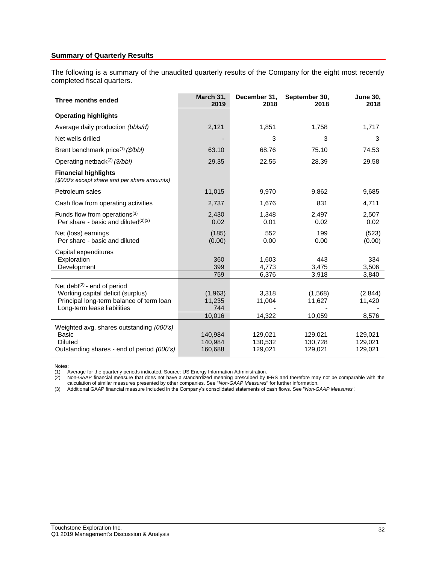# **Summary of Quarterly Results**

The following is a summary of the unaudited quarterly results of the Company for the eight most recently completed fiscal quarters.

| Three months ended                                                                                                                             | March 31,<br>2019             | December 31,<br>2018          | September 30,<br>2018         | <b>June 30,</b><br>2018       |
|------------------------------------------------------------------------------------------------------------------------------------------------|-------------------------------|-------------------------------|-------------------------------|-------------------------------|
| <b>Operating highlights</b>                                                                                                                    |                               |                               |                               |                               |
| Average daily production (bbls/d)                                                                                                              | 2,121                         | 1,851                         | 1,758                         | 1,717                         |
| Net wells drilled                                                                                                                              |                               | 3                             | 3                             | 3                             |
| Brent benchmark price <sup>(1)</sup> (\$/bbl)                                                                                                  | 63.10                         | 68.76                         | 75.10                         | 74.53                         |
| Operating netback <sup>(2)</sup> (\$/bbl)                                                                                                      | 29.35                         | 22.55                         | 28.39                         | 29.58                         |
| <b>Financial highlights</b><br>(\$000's except share and per share amounts)                                                                    |                               |                               |                               |                               |
| Petroleum sales                                                                                                                                | 11,015                        | 9,970                         | 9,862                         | 9,685                         |
| Cash flow from operating activities                                                                                                            | 2,737                         | 1,676                         | 831                           | 4,711                         |
| Funds flow from operations <sup>(3)</sup><br>Per share - basic and diluted $(2)(3)$                                                            | 2,430<br>0.02                 | 1,348<br>0.01                 | 2,497<br>0.02                 | 2,507<br>0.02                 |
| Net (loss) earnings<br>Per share - basic and diluted                                                                                           | (185)<br>(0.00)               | 552<br>0.00                   | 199<br>0.00                   | (523)<br>(0.00)               |
| Capital expenditures<br>Exploration<br>Development                                                                                             | 360<br>399                    | 1,603<br>4.773                | 443<br>3,475                  | 334<br>3,506                  |
|                                                                                                                                                | 759                           | 6,376                         | 3,918                         | 3,840                         |
| Net debt $(2)$ - end of period<br>Working capital deficit (surplus)<br>Principal long-term balance of term loan<br>Long-term lease liabilities | (1,963)<br>11,235<br>744      | 3,318<br>11,004               | (1,568)<br>11,627             | (2,844)<br>11,420             |
|                                                                                                                                                | 10,016                        | 14,322                        | 10,059                        | 8,576                         |
| Weighted avg. shares outstanding (000's)<br>Basic<br><b>Diluted</b><br>Outstanding shares - end of period (000's)                              | 140,984<br>140,984<br>160,688 | 129,021<br>130,532<br>129,021 | 129,021<br>130,728<br>129,021 | 129,021<br>129,021<br>129,021 |

Notes:

(1) Average for the quarterly periods indicated. Source: US Energy Information Administration.

(2) Non-GAAP financial measure that does not have a standardized meaning prescribed by IFRS and therefore may not be comparable with the calculation of similar measures presented by other companies. See "*Non-GAAP Measures*" for further information.

(3) Additional GAAP financial measure included in the Company's consolidated statements of cash flows. See "*Non-GAAP Measures*"*.*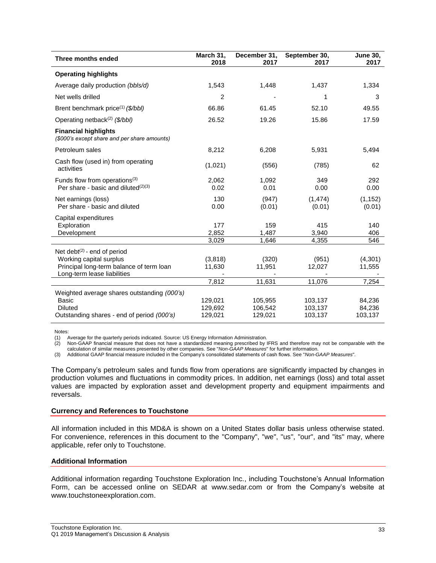| Three months ended                                                                                                                   | March 31,<br>2018             | December 31,<br>2017          | September 30,<br>2017         | <b>June 30,</b><br>2017     |
|--------------------------------------------------------------------------------------------------------------------------------------|-------------------------------|-------------------------------|-------------------------------|-----------------------------|
| <b>Operating highlights</b>                                                                                                          |                               |                               |                               |                             |
| Average daily production (bbls/d)                                                                                                    | 1,543                         | 1,448                         | 1,437                         | 1,334                       |
| Net wells drilled                                                                                                                    | $\overline{2}$                |                               | 1                             | 3                           |
| Brent benchmark price <sup>(1)</sup> ( $\frac{f}{f}$ bbl)                                                                            | 66.86                         | 61.45                         | 52.10                         | 49.55                       |
| Operating netback <sup>(2)</sup> (\$/bbl)                                                                                            | 26.52                         | 19.26                         | 15.86                         | 17.59                       |
| <b>Financial highlights</b><br>(\$000's except share and per share amounts)                                                          |                               |                               |                               |                             |
| Petroleum sales                                                                                                                      | 8,212                         | 6,208                         | 5,931                         | 5,494                       |
| Cash flow (used in) from operating<br>activities                                                                                     | (1,021)                       | (556)                         | (785)                         | 62                          |
| Funds flow from operations <sup>(3)</sup><br>Per share - basic and diluted $(2)(3)$                                                  | 2,062<br>0.02                 | 1,092<br>0.01                 | 349<br>0.00                   | 292<br>0.00                 |
| Net earnings (loss)<br>Per share - basic and diluted                                                                                 | 130<br>0.00                   | (947)<br>(0.01)               | (1, 474)<br>(0.01)            | (1, 152)<br>(0.01)          |
| Capital expenditures<br>Exploration<br>Development                                                                                   | 177<br>2,852<br>3,029         | 159<br>1,487<br>1,646         | 415<br>3,940<br>4,355         | 140<br>406<br>546           |
| Net debt $(2)$ - end of period<br>Working capital surplus<br>Principal long-term balance of term loan<br>Long-term lease liabilities | (3,818)<br>11,630<br>7,812    | (320)<br>11,951<br>11,631     | (951)<br>12,027<br>11,076     | (4,301)<br>11,555<br>7,254  |
| Weighted average shares outstanding (000's)<br>Basic<br><b>Diluted</b><br>Outstanding shares - end of period (000's)                 | 129,021<br>129,692<br>129,021 | 105,955<br>106,542<br>129,021 | 103,137<br>103,137<br>103,137 | 84,236<br>84,236<br>103,137 |

Notes:

(1) Average for the quarterly periods indicated. Source: US Energy Information Administration.

Non-GAAP financial measure that does not have a standardized meaning prescribed by IFRS and therefore may not be comparable with the calculation of similar measures presented by other companies. See "*Non-GAAP Measures*" for further information.

(3) Additional GAAP financial measure included in the Company's consolidated statements of cash flows. See "*Non-GAAP Measures*"*.*

The Company's petroleum sales and funds flow from operations are significantly impacted by changes in production volumes and fluctuations in commodity prices. In addition, net earnings (loss) and total asset values are impacted by exploration asset and development property and equipment impairments and reversals.

### **Currency and References to Touchstone**

All information included in this MD&A is shown on a United States dollar basis unless otherwise stated. For convenience, references in this document to the "Company", "we", "us", "our", and "its" may, where applicable, refer only to Touchstone.

### **Additional Information**

Additional information regarding Touchstone Exploration Inc., including Touchstone's Annual Information Form, can be accessed online on SEDAR at www.sedar.com or from the Company's website at www.touchstoneexploration.com.